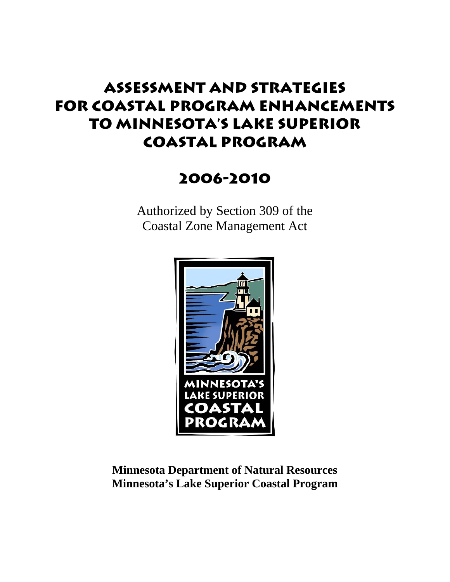# **Assessment and Strategies For Coastal Program Enhancements to Minnesota's Lake Superior Coastal Program**

# **2006-2010**

Authorized by Section 309 of the Coastal Zone Management Act



# **Minnesota Department of Natural Resources Minnesota's Lake Superior Coastal Program**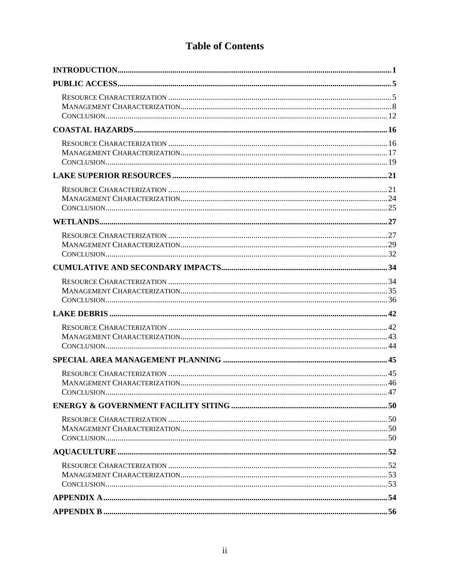# **Table of Contents**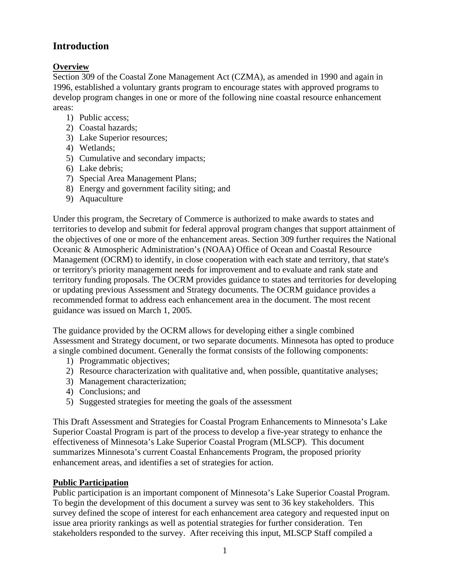## **Introduction**

#### **Overview**

Section 309 of the Coastal Zone Management Act (CZMA), as amended in 1990 and again in 1996, established a voluntary grants program to encourage states with approved programs to develop program changes in one or more of the following nine coastal resource enhancement areas:

- 1) Public access;
- 2) Coastal hazards;
- 3) Lake Superior resources;
- 4) Wetlands;
- 5) Cumulative and secondary impacts;
- 6) Lake debris;
- 7) Special Area Management Plans;
- 8) Energy and government facility siting; and
- 9) Aquaculture

Under this program, the Secretary of Commerce is authorized to make awards to states and territories to develop and submit for federal approval program changes that support attainment of the objectives of one or more of the enhancement areas. Section 309 further requires the National Oceanic & Atmospheric Administration's (NOAA) Office of Ocean and Coastal Resource Management (OCRM) to identify, in close cooperation with each state and territory, that state's or territory's priority management needs for improvement and to evaluate and rank state and territory funding proposals. The OCRM provides guidance to states and territories for developing or updating previous Assessment and Strategy documents. The OCRM guidance provides a recommended format to address each enhancement area in the document. The most recent guidance was issued on March 1, 2005.

The guidance provided by the OCRM allows for developing either a single combined Assessment and Strategy document, or two separate documents. Minnesota has opted to produce a single combined document. Generally the format consists of the following components:

- 1) Programmatic objectives;
- 2) Resource characterization with qualitative and, when possible, quantitative analyses;
- 3) Management characterization;
- 4) Conclusions; and
- 5) Suggested strategies for meeting the goals of the assessment

This Draft Assessment and Strategies for Coastal Program Enhancements to Minnesota's Lake Superior Coastal Program is part of the process to develop a five-year strategy to enhance the effectiveness of Minnesota's Lake Superior Coastal Program (MLSCP). This document summarizes Minnesota's current Coastal Enhancements Program, the proposed priority enhancement areas, and identifies a set of strategies for action.

#### **Public Participation**

Public participation is an important component of Minnesota's Lake Superior Coastal Program. To begin the development of this document a survey was sent to 36 key stakeholders. This survey defined the scope of interest for each enhancement area category and requested input on issue area priority rankings as well as potential strategies for further consideration. Ten stakeholders responded to the survey. After receiving this input, MLSCP Staff compiled a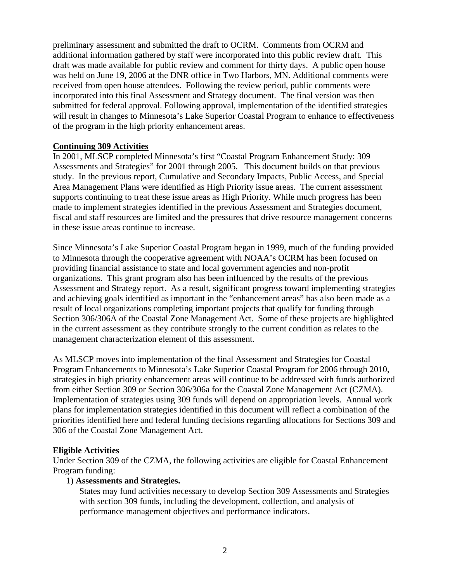preliminary assessment and submitted the draft to OCRM. Comments from OCRM and additional information gathered by staff were incorporated into this public review draft. This draft was made available for public review and comment for thirty days. A public open house was held on June 19, 2006 at the DNR office in Two Harbors, MN. Additional comments were received from open house attendees. Following the review period, public comments were incorporated into this final Assessment and Strategy document. The final version was then submitted for federal approval. Following approval, implementation of the identified strategies will result in changes to Minnesota's Lake Superior Coastal Program to enhance to effectiveness of the program in the high priority enhancement areas.

#### **Continuing 309 Activities**

In 2001, MLSCP completed Minnesota's first "Coastal Program Enhancement Study: 309 Assessments and Strategies" for 2001 through 2005. This document builds on that previous study. In the previous report, Cumulative and Secondary Impacts, Public Access, and Special Area Management Plans were identified as High Priority issue areas. The current assessment supports continuing to treat these issue areas as High Priority. While much progress has been made to implement strategies identified in the previous Assessment and Strategies document, fiscal and staff resources are limited and the pressures that drive resource management concerns in these issue areas continue to increase.

Since Minnesota's Lake Superior Coastal Program began in 1999, much of the funding provided to Minnesota through the cooperative agreement with NOAA's OCRM has been focused on providing financial assistance to state and local government agencies and non-profit organizations. This grant program also has been influenced by the results of the previous Assessment and Strategy report. As a result, significant progress toward implementing strategies and achieving goals identified as important in the "enhancement areas" has also been made as a result of local organizations completing important projects that qualify for funding through Section 306/306A of the Coastal Zone Management Act. Some of these projects are highlighted in the current assessment as they contribute strongly to the current condition as relates to the management characterization element of this assessment.

As MLSCP moves into implementation of the final Assessment and Strategies for Coastal Program Enhancements to Minnesota's Lake Superior Coastal Program for 2006 through 2010, strategies in high priority enhancement areas will continue to be addressed with funds authorized from either Section 309 or Section 306/306a for the Coastal Zone Management Act (CZMA). Implementation of strategies using 309 funds will depend on appropriation levels. Annual work plans for implementation strategies identified in this document will reflect a combination of the priorities identified here and federal funding decisions regarding allocations for Sections 309 and 306 of the Coastal Zone Management Act.

#### **Eligible Activities**

Under Section 309 of the CZMA, the following activities are eligible for Coastal Enhancement Program funding:

#### 1) **Assessments and Strategies.**

States may fund activities necessary to develop Section 309 Assessments and Strategies with section 309 funds, including the development, collection, and analysis of performance management objectives and performance indicators.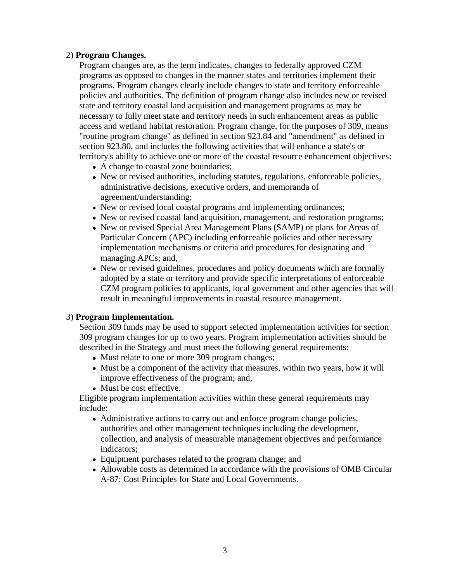#### 2) **Program Changes.**

Program changes are, as the term indicates, changes to federally approved CZM programs as opposed to changes in the manner states and territories implement their programs. Program changes clearly include changes to state and territory enforceable policies and authorities. The definition of program change also includes new or revised state and territory coastal land acquisition and management programs as may be necessary to fully meet state and territory needs in such enhancement areas as public access and wetland habitat restoration. Program change, for the purposes of 309, means "routine program change" as defined in section 923.84 and "amendment" as defined in section 923.80, and includes the following activities that will enhance a state's or territory's ability to achieve one or more of the coastal resource enhancement objectives:

- A change to coastal zone boundaries;
- New or revised authorities, including statutes, regulations, enforceable policies, administrative decisions, executive orders, and memoranda of agreement/understanding;
- New or revised local coastal programs and implementing ordinances;
- New or revised coastal land acquisition, management, and restoration programs;
- New or revised Special Area Management Plans (SAMP) or plans for Areas of Particular Concern (APC) including enforceable policies and other necessary implementation mechanisms or criteria and procedures for designating and managing APCs; and,
- New or revised guidelines, procedures and policy documents which are formally adopted by a state or territory and provide specific interpretations of enforceable CZM program policies to applicants, local government and other agencies that will result in meaningful improvements in coastal resource management.

#### 3) **Program Implementation.**

Section 309 funds may be used to support selected implementation activities for section 309 program changes for up to two years. Program implementation activities should be described in the Strategy and must meet the following general requirements:

- Must relate to one or more 309 program changes;
- Must be a component of the activity that measures, within two years, how it will improve effectiveness of the program; and,
- Must be cost effective.

Eligible program implementation activities within these general requirements may include:

- Administrative actions to carry out and enforce program change policies, authorities and other management techniques including the development, collection, and analysis of measurable management objectives and performance indicators;
- Equipment purchases related to the program change; and
- Allowable costs as determined in accordance with the provisions of OMB Circular A-87: Cost Principles for State and Local Governments.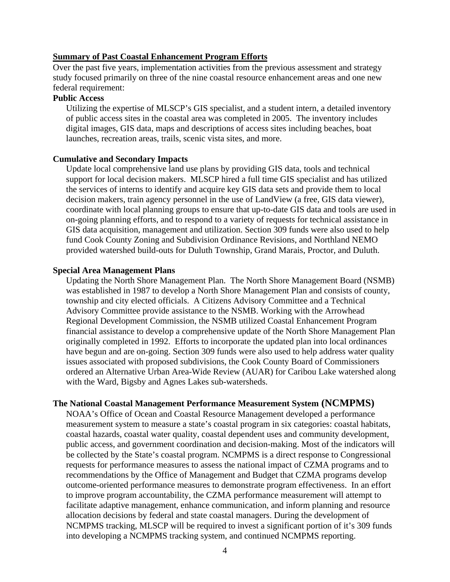#### **Summary of Past Coastal Enhancement Program Efforts**

Over the past five years, implementation activities from the previous assessment and strategy study focused primarily on three of the nine coastal resource enhancement areas and one new federal requirement:

#### **Public Access**

Utilizing the expertise of MLSCP's GIS specialist, and a student intern, a detailed inventory of public access sites in the coastal area was completed in 2005. The inventory includes digital images, GIS data, maps and descriptions of access sites including beaches, boat launches, recreation areas, trails, scenic vista sites, and more.

#### **Cumulative and Secondary Impacts**

Update local comprehensive land use plans by providing GIS data, tools and technical support for local decision makers. MLSCP hired a full time GIS specialist and has utilized the services of interns to identify and acquire key GIS data sets and provide them to local decision makers, train agency personnel in the use of LandView (a free, GIS data viewer), coordinate with local planning groups to ensure that up-to-date GIS data and tools are used in on-going planning efforts, and to respond to a variety of requests for technical assistance in GIS data acquisition, management and utilization. Section 309 funds were also used to help fund Cook County Zoning and Subdivision Ordinance Revisions, and Northland NEMO provided watershed build-outs for Duluth Township, Grand Marais, Proctor, and Duluth.

#### **Special Area Management Plans**

Updating the North Shore Management Plan. The North Shore Management Board (NSMB) was established in 1987 to develop a North Shore Management Plan and consists of county, township and city elected officials. A Citizens Advisory Committee and a Technical Advisory Committee provide assistance to the NSMB. Working with the Arrowhead Regional Development Commission, the NSMB utilized Coastal Enhancement Program financial assistance to develop a comprehensive update of the North Shore Management Plan originally completed in 1992. Efforts to incorporate the updated plan into local ordinances have begun and are on-going. Section 309 funds were also used to help address water quality issues associated with proposed subdivisions, the Cook County Board of Commissioners ordered an Alternative Urban Area-Wide Review (AUAR) for Caribou Lake watershed along with the Ward, Bigsby and Agnes Lakes sub-watersheds.

#### **The National Coastal Management Performance Measurement System (NCMPMS)**

NOAA's Office of Ocean and Coastal Resource Management developed a performance measurement system to measure a state's coastal program in six categories: coastal habitats, coastal hazards, coastal water quality, coastal dependent uses and community development, public access, and government coordination and decision-making. Most of the indicators will be collected by the State's coastal program. NCMPMS is a direct response to Congressional requests for performance measures to assess the national impact of CZMA programs and to recommendations by the Office of Management and Budget that CZMA programs develop outcome-oriented performance measures to demonstrate program effectiveness. In an effort to improve program accountability, the CZMA performance measurement will attempt to facilitate adaptive management, enhance communication, and inform planning and resource allocation decisions by federal and state coastal managers. During the development of NCMPMS tracking, MLSCP will be required to invest a significant portion of it's 309 funds into developing a NCMPMS tracking system, and continued NCMPMS reporting.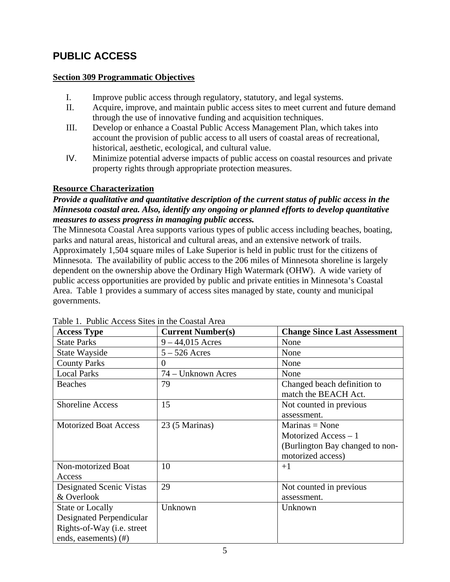# **PUBLIC ACCESS**

#### **Section 309 Programmatic Objectives**

- I. Improve public access through regulatory, statutory, and legal systems.
- II. Acquire, improve, and maintain public access sites to meet current and future demand through the use of innovative funding and acquisition techniques.
- III. Develop or enhance a Coastal Public Access Management Plan, which takes into account the provision of public access to all users of coastal areas of recreational, historical, aesthetic, ecological, and cultural value.
- IV. Minimize potential adverse impacts of public access on coastal resources and private property rights through appropriate protection measures.

#### **Resource Characterization**

#### *Provide a qualitative and quantitative description of the current status of public access in the Minnesota coastal area. Also, identify any ongoing or planned efforts to develop quantitative measures to assess progress in managing public access.*

The Minnesota Coastal Area supports various types of public access including beaches, boating, parks and natural areas, historical and cultural areas, and an extensive network of trails. Approximately 1,504 square miles of Lake Superior is held in public trust for the citizens of Minnesota. The availability of public access to the 206 miles of Minnesota shoreline is largely dependent on the ownership above the Ordinary High Watermark (OHW). A wide variety of public access opportunities are provided by public and private entities in Minnesota's Coastal Area. Table 1 provides a summary of access sites managed by state, county and municipal governments.

| <b>Access Type</b>                 | <b>Current Number(s)</b> | <b>Change Since Last Assessment</b> |
|------------------------------------|--------------------------|-------------------------------------|
| <b>State Parks</b>                 | $9 - 44,015$ Acres       | None                                |
| State Wayside                      | $5 - 526$ Acres          | None                                |
| <b>County Parks</b>                | $\theta$                 | None                                |
| <b>Local Parks</b>                 | 74 – Unknown Acres       | None                                |
| <b>Beaches</b>                     | 79                       | Changed beach definition to         |
|                                    |                          | match the BEACH Act.                |
| <b>Shoreline Access</b>            | 15                       | Not counted in previous             |
|                                    |                          | assessment.                         |
| <b>Motorized Boat Access</b>       | 23 (5 Marinas)           | $Marinas = None$                    |
|                                    |                          | Motorized Access - 1                |
|                                    |                          | (Burlington Bay changed to non-     |
|                                    |                          | motorized access)                   |
| Non-motorized Boat                 | 10                       | $+1$                                |
| Access                             |                          |                                     |
| Designated Scenic Vistas           | 29                       | Not counted in previous             |
| & Overlook                         |                          | assessment.                         |
| <b>State or Locally</b>            | Unknown                  | Unknown                             |
| Designated Perpendicular           |                          |                                     |
| Rights-of-Way ( <i>i.e.</i> street |                          |                                     |
| ends, easements) (#)               |                          |                                     |

Table 1. Public Access Sites in the Coastal Area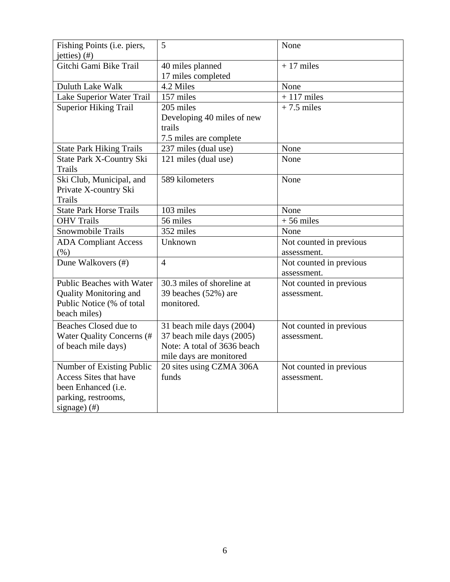| Fishing Points (i.e. piers,<br>jetties) $(f)$               | 5                                              | None                    |
|-------------------------------------------------------------|------------------------------------------------|-------------------------|
| Gitchi Gami Bike Trail                                      | 40 miles planned<br>17 miles completed         | $+17$ miles             |
| Duluth Lake Walk                                            | 4.2 Miles                                      | None                    |
| Lake Superior Water Trail                                   | 157 miles                                      | $+117$ miles            |
| <b>Superior Hiking Trail</b>                                | 205 miles                                      | $+7.5$ miles            |
|                                                             | Developing 40 miles of new<br>trails           |                         |
|                                                             | 7.5 miles are complete<br>237 miles (dual use) | None                    |
| <b>State Park Hiking Trails</b><br>State Park X-Country Ski | 121 miles (dual use)                           | None                    |
| <b>Trails</b>                                               |                                                |                         |
| Ski Club, Municipal, and                                    | 589 kilometers                                 | None                    |
| Private X-country Ski                                       |                                                |                         |
| <b>Trails</b>                                               |                                                |                         |
| <b>State Park Horse Trails</b>                              | 103 miles                                      | None                    |
| <b>OHV Trails</b>                                           | 56 miles                                       | $+56$ miles             |
| Snowmobile Trails                                           | 352 miles                                      | None                    |
| <b>ADA Compliant Access</b>                                 | Unknown                                        | Not counted in previous |
| (% )                                                        |                                                | assessment.             |
| Dune Walkovers (#)                                          | $\overline{4}$                                 | Not counted in previous |
|                                                             |                                                | assessment.             |
| Public Beaches with Water                                   | 30.3 miles of shoreline at                     | Not counted in previous |
| <b>Quality Monitoring and</b>                               | 39 beaches (52%) are                           | assessment.             |
| Public Notice (% of total                                   | monitored.                                     |                         |
| beach miles)                                                |                                                |                         |
| Beaches Closed due to                                       | 31 beach mile days (2004)                      | Not counted in previous |
| Water Quality Concerns (#                                   | 37 beach mile days (2005)                      | assessment.             |
| of beach mile days)                                         | Note: A total of 3636 beach                    |                         |
|                                                             | mile days are monitored                        |                         |
| Number of Existing Public                                   | 20 sites using CZMA 306A                       | Not counted in previous |
| <b>Access Sites that have</b>                               | funds                                          | assessment.             |
| been Enhanced (i.e.                                         |                                                |                         |
| parking, restrooms,                                         |                                                |                         |
| signage) $($ #)                                             |                                                |                         |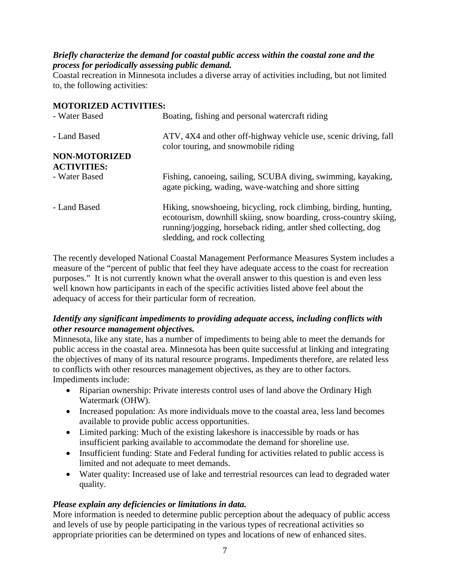#### *Briefly characterize the demand for coastal public access within the coastal zone and the process for periodically assessing public demand.*

Coastal recreation in Minnesota includes a diverse array of activities including, but not limited to, the following activities:

#### **MOTORIZED ACTIVITIES:**

| - Water Based        | Boating, fishing and personal watercraft riding                                                                                                                                                                                          |  |
|----------------------|------------------------------------------------------------------------------------------------------------------------------------------------------------------------------------------------------------------------------------------|--|
| - Land Based         | ATV, 4X4 and other off-highway vehicle use, scenic driving, fall<br>color touring, and snowmobile riding                                                                                                                                 |  |
| <b>NON-MOTORIZED</b> |                                                                                                                                                                                                                                          |  |
| <b>ACTIVITIES:</b>   |                                                                                                                                                                                                                                          |  |
| - Water Based        | Fishing, canoeing, sailing, SCUBA diving, swimming, kayaking,<br>agate picking, wading, wave-watching and shore sitting                                                                                                                  |  |
| - Land Based         | Hiking, snowshoeing, bicycling, rock climbing, birding, hunting,<br>ecotourism, downhill skiing, snow boarding, cross-country skiing,<br>running/jogging, horseback riding, antler shed collecting, dog<br>sledding, and rock collecting |  |

The recently developed National Coastal Management Performance Measures System includes a measure of the "percent of public that feel they have adequate access to the coast for recreation purposes." It is not currently known what the overall answer to this question is and even less well known how participants in each of the specific activities listed above feel about the adequacy of access for their particular form of recreation.

#### *Identify any significant impediments to providing adequate access, including conflicts with other resource management objectives.*

Minnesota, like any state, has a number of impediments to being able to meet the demands for public access in the coastal area. Minnesota has been quite successful at linking and integrating the objectives of many of its natural resource programs. Impediments therefore, are related less to conflicts with other resources management objectives, as they are to other factors. Impediments include:

- Riparian ownership: Private interests control uses of land above the Ordinary High Watermark (OHW).
- Increased population: As more individuals move to the coastal area, less land becomes available to provide public access opportunities.
- Limited parking: Much of the existing lakeshore is inaccessible by roads or has insufficient parking available to accommodate the demand for shoreline use.
- Insufficient funding: State and Federal funding for activities related to public access is limited and not adequate to meet demands.
- Water quality: Increased use of lake and terrestrial resources can lead to degraded water quality.

### *Please explain any deficiencies or limitations in data.*

More information is needed to determine public perception about the adequacy of public access and levels of use by people participating in the various types of recreational activities so appropriate priorities can be determined on types and locations of new of enhanced sites.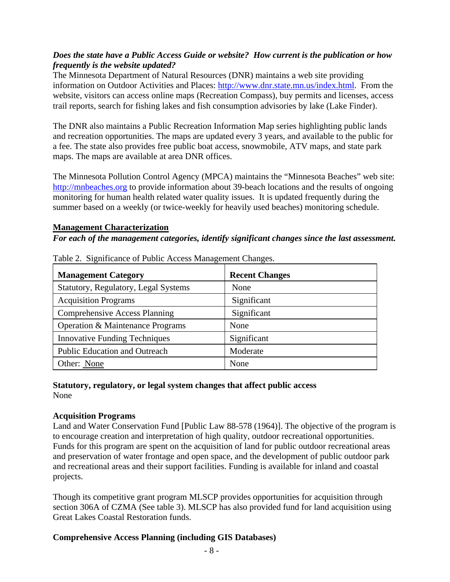#### *Does the state have a Public Access Guide or website? How current is the publication or how frequently is the website updated?*

The Minnesota Department of Natural Resources (DNR) maintains a web site providing information on Outdoor Activities and Places: http://www.dnr.state.mn.us/index.html. From the website, visitors can access online maps (Recreation Compass), buy permits and licenses, access trail reports, search for fishing lakes and fish consumption advisories by lake (Lake Finder).

The DNR also maintains a Public Recreation Information Map series highlighting public lands and recreation opportunities. The maps are updated every 3 years, and available to the public for a fee. The state also provides free public boat access, snowmobile, ATV maps, and state park maps. The maps are available at area DNR offices.

The Minnesota Pollution Control Agency (MPCA) maintains the "Minnesota Beaches" web site: http://mnbeaches.org to provide information about 39-beach locations and the results of ongoing monitoring for human health related water quality issues. It is updated frequently during the summer based on a weekly (or twice-weekly for heavily used beaches) monitoring schedule.

#### **Management Characterization**

#### *For each of the management categories, identify significant changes since the last assessment.*

| <b>Management Category</b>           | <b>Recent Changes</b> |  |  |  |
|--------------------------------------|-----------------------|--|--|--|
| Statutory, Regulatory, Legal Systems | None                  |  |  |  |
| <b>Acquisition Programs</b>          | Significant           |  |  |  |
| <b>Comprehensive Access Planning</b> | Significant           |  |  |  |
| Operation & Maintenance Programs     | None                  |  |  |  |
| <b>Innovative Funding Techniques</b> | Significant           |  |  |  |
| Public Education and Outreach        | Moderate              |  |  |  |
| Other: None                          | None                  |  |  |  |

Table 2. Significance of Public Access Management Changes.

#### **Statutory, regulatory, or legal system changes that affect public access**  None

#### **Acquisition Programs**

Land and Water Conservation Fund [Public Law 88-578 (1964)]. The objective of the program is to encourage creation and interpretation of high quality, outdoor recreational opportunities. Funds for this program are spent on the acquisition of land for public outdoor recreational areas and preservation of water frontage and open space, and the development of public outdoor park and recreational areas and their support facilities. Funding is available for inland and coastal projects.

Though its competitive grant program MLSCP provides opportunities for acquisition through section 306A of CZMA (See table 3). MLSCP has also provided fund for land acquisition using Great Lakes Coastal Restoration funds.

#### **Comprehensive Access Planning (including GIS Databases)**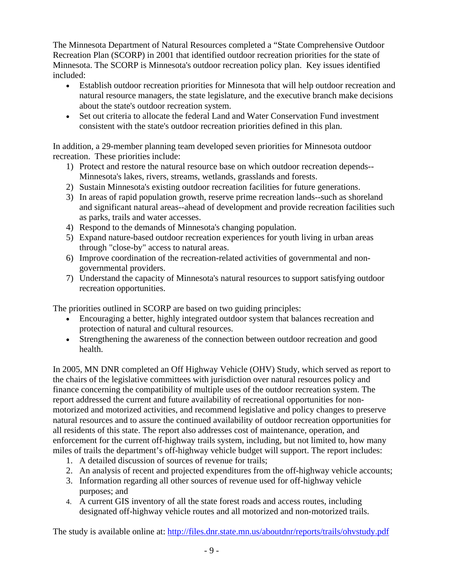The Minnesota Department of Natural Resources completed a "State Comprehensive Outdoor Recreation Plan (SCORP) in 2001 that identified outdoor recreation priorities for the state of Minnesota. The SCORP is Minnesota's outdoor recreation policy plan. Key issues identified included:

- Establish outdoor recreation priorities for Minnesota that will help outdoor recreation and natural resource managers, the state legislature, and the executive branch make decisions about the state's outdoor recreation system.
- Set out criteria to allocate the federal Land and Water Conservation Fund investment consistent with the state's outdoor recreation priorities defined in this plan.

In addition, a 29-member planning team developed seven priorities for Minnesota outdoor recreation. These priorities include:

- 1) Protect and restore the natural resource base on which outdoor recreation depends-- Minnesota's lakes, rivers, streams, wetlands, grasslands and forests.
- 2) Sustain Minnesota's existing outdoor recreation facilities for future generations.
- 3) In areas of rapid population growth, reserve prime recreation lands--such as shoreland and significant natural areas--ahead of development and provide recreation facilities such as parks, trails and water accesses.
- 4) Respond to the demands of Minnesota's changing population.
- 5) Expand nature-based outdoor recreation experiences for youth living in urban areas through "close-by" access to natural areas.
- 6) Improve coordination of the recreation-related activities of governmental and nongovernmental providers.
- 7) Understand the capacity of Minnesota's natural resources to support satisfying outdoor recreation opportunities.

The priorities outlined in SCORP are based on two guiding principles:

- Encouraging a better, highly integrated outdoor system that balances recreation and protection of natural and cultural resources.
- Strengthening the awareness of the connection between outdoor recreation and good health.

In 2005, MN DNR completed an Off Highway Vehicle (OHV) Study, which served as report to the chairs of the legislative committees with jurisdiction over natural resources policy and finance concerning the compatibility of multiple uses of the outdoor recreation system. The report addressed the current and future availability of recreational opportunities for nonmotorized and motorized activities, and recommend legislative and policy changes to preserve natural resources and to assure the continued availability of outdoor recreation opportunities for all residents of this state. The report also addresses cost of maintenance, operation, and enforcement for the current off-highway trails system, including, but not limited to, how many miles of trails the department's off-highway vehicle budget will support. The report includes:

- 1. A detailed discussion of sources of revenue for trails;
- 2. An analysis of recent and projected expenditures from the off-highway vehicle accounts;
- 3. Information regarding all other sources of revenue used for off-highway vehicle purposes; and
- 4. A current GIS inventory of all the state forest roads and access routes, including designated off-highway vehicle routes and all motorized and non-motorized trails.

The study is available online at: http://files.dnr.state.mn.us/aboutdnr/reports/trails/ohvstudy.pdf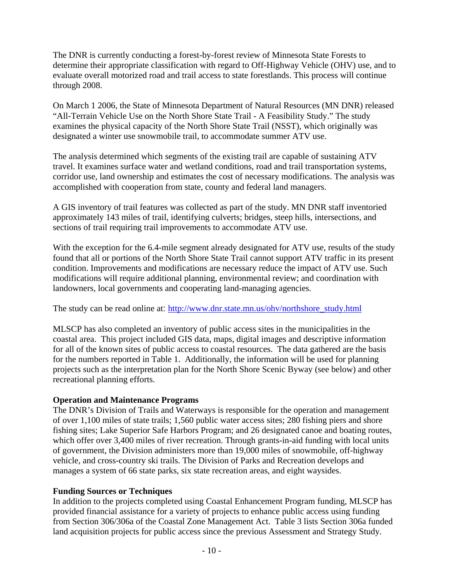The DNR is currently conducting a forest-by-forest review of Minnesota State Forests to determine their appropriate classification with regard to Off-Highway Vehicle (OHV) use, and to evaluate overall motorized road and trail access to state forestlands. This process will continue through 2008.

On March 1 2006, the State of Minnesota Department of Natural Resources (MN DNR) released "All-Terrain Vehicle Use on the North Shore State Trail - A Feasibility Study." The study examines the physical capacity of the North Shore State Trail (NSST), which originally was designated a winter use snowmobile trail, to accommodate summer ATV use.

The analysis determined which segments of the existing trail are capable of sustaining ATV travel. It examines surface water and wetland conditions, road and trail transportation systems, corridor use, land ownership and estimates the cost of necessary modifications. The analysis was accomplished with cooperation from state, county and federal land managers.

A GIS inventory of trail features was collected as part of the study. MN DNR staff inventoried approximately 143 miles of trail, identifying culverts; bridges, steep hills, intersections, and sections of trail requiring trail improvements to accommodate ATV use.

With the exception for the 6.4-mile segment already designated for ATV use, results of the study found that all or portions of the North Shore State Trail cannot support ATV traffic in its present condition. Improvements and modifications are necessary reduce the impact of ATV use. Such modifications will require additional planning, environmental review; and coordination with landowners, local governments and cooperating land-managing agencies.

The study can be read online at: http://www.dnr.state.mn.us/ohv/northshore\_study.html

MLSCP has also completed an inventory of public access sites in the municipalities in the coastal area. This project included GIS data, maps, digital images and descriptive information for all of the known sites of public access to coastal resources. The data gathered are the basis for the numbers reported in Table 1. Additionally, the information will be used for planning projects such as the interpretation plan for the North Shore Scenic Byway (see below) and other recreational planning efforts.

#### **Operation and Maintenance Programs**

The DNR's Division of Trails and Waterways is responsible for the operation and management of over 1,100 miles of state trails; 1,560 public water access sites; 280 fishing piers and shore fishing sites; Lake Superior Safe Harbors Program; and 26 designated canoe and boating routes, which offer over 3,400 miles of river recreation. Through grants-in-aid funding with local units of government, the Division administers more than 19,000 miles of snowmobile, off-highway vehicle, and cross-country ski trails. The Division of Parks and Recreation develops and manages a system of 66 state parks, six state recreation areas, and eight waysides.

#### **Funding Sources or Techniques**

In addition to the projects completed using Coastal Enhancement Program funding, MLSCP has provided financial assistance for a variety of projects to enhance public access using funding from Section 306/306a of the Coastal Zone Management Act. Table 3 lists Section 306a funded land acquisition projects for public access since the previous Assessment and Strategy Study.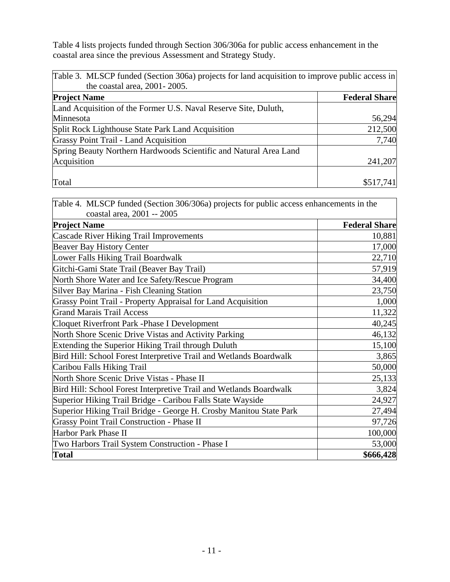Table 4 lists projects funded through Section 306/306a for public access enhancement in the coastal area since the previous Assessment and Strategy Study.

| Table 3. MLSCP funded (Section 306a) projects for land acquisition to improve public access in |                      |
|------------------------------------------------------------------------------------------------|----------------------|
| the coastal area, 2001-2005.                                                                   |                      |
| <b>Project Name</b>                                                                            | <b>Federal Share</b> |
| Land Acquisition of the Former U.S. Naval Reserve Site, Duluth,                                |                      |
| Minnesota                                                                                      | 56,294               |
| Split Rock Lighthouse State Park Land Acquisition                                              | 212,500              |
| Grassy Point Trail - Land Acquisition                                                          | 7,740                |
| Spring Beauty Northern Hardwoods Scientific and Natural Area Land                              |                      |
| Acquisition                                                                                    | 241,207              |
|                                                                                                |                      |
| Total                                                                                          | \$517,741            |

Table 4. MLSCP funded (Section 306/306a) projects for public access enhancements in the coastal area, 2001 -- 2005

| $\mathbf{v}$ <sub>ustai</sub> arca, $\mathbf{v}$                    |                      |
|---------------------------------------------------------------------|----------------------|
| <b>Project Name</b>                                                 | <b>Federal Share</b> |
| Cascade River Hiking Trail Improvements                             | 10,881               |
| <b>Beaver Bay History Center</b>                                    | 17,000               |
| Lower Falls Hiking Trail Boardwalk                                  | 22,710               |
| Gitchi-Gami State Trail (Beaver Bay Trail)                          | 57,919               |
| North Shore Water and Ice Safety/Rescue Program                     | 34,400               |
| Silver Bay Marina - Fish Cleaning Station                           | 23,750               |
| <b>Grassy Point Trail - Property Appraisal for Land Acquisition</b> | 1,000                |
| <b>Grand Marais Trail Access</b>                                    | 11,322               |
| Cloquet Riverfront Park - Phase I Development                       | 40,245               |
| North Shore Scenic Drive Vistas and Activity Parking                | 46,132               |
| Extending the Superior Hiking Trail through Duluth                  | 15,100               |
| Bird Hill: School Forest Interpretive Trail and Wetlands Boardwalk  | 3,865                |
| Caribou Falls Hiking Trail                                          | 50,000               |
| North Shore Scenic Drive Vistas - Phase II                          | 25,133               |
| Bird Hill: School Forest Interpretive Trail and Wetlands Boardwalk  | 3,824                |
| Superior Hiking Trail Bridge - Caribou Falls State Wayside          | 24,927               |
| Superior Hiking Trail Bridge - George H. Crosby Manitou State Park  | 27,494               |
| <b>Grassy Point Trail Construction - Phase II</b>                   | 97,726               |
| Harbor Park Phase II                                                | 100,000              |
| Two Harbors Trail System Construction - Phase I                     | 53,000               |
| <b>Total</b>                                                        | \$666,428            |
|                                                                     |                      |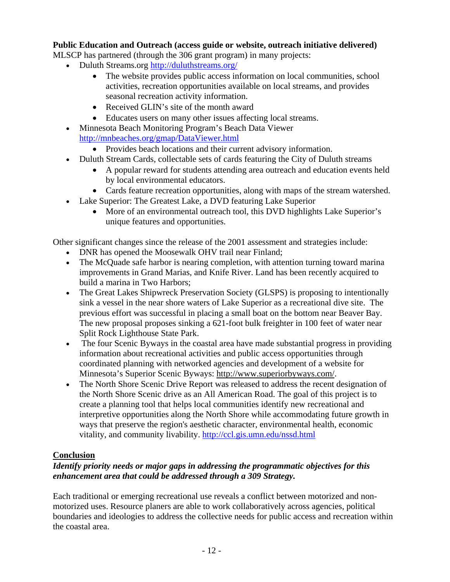#### **Public Education and Outreach (access guide or website, outreach initiative delivered)**

MLSCP has partnered (through the 306 grant program) in many projects:

- Duluth Streams.org http://duluthstreams.org/
	- The website provides public access information on local communities, school activities, recreation opportunities available on local streams, and provides seasonal recreation activity information.
	- Received GLIN's site of the month award
	- Educates users on many other issues affecting local streams.
- Minnesota Beach Monitoring Program's Beach Data Viewer http://mnbeaches.org/gmap/DataViewer.html
	- Provides beach locations and their current advisory information.
- Duluth Stream Cards, collectable sets of cards featuring the City of Duluth streams
	- A popular reward for students attending area outreach and education events held by local environmental educators.
	- Cards feature recreation opportunities, along with maps of the stream watershed.
- Lake Superior: The Greatest Lake, a DVD featuring Lake Superior
	- More of an environmental outreach tool, this DVD highlights Lake Superior's unique features and opportunities.

Other significant changes since the release of the 2001 assessment and strategies include:

- DNR has opened the Moosewalk OHV trail near Finland;
- The McQuade safe harbor is nearing completion, with attention turning toward marina improvements in Grand Marias, and Knife River. Land has been recently acquired to build a marina in Two Harbors;
- The Great Lakes Shipwreck Preservation Society (GLSPS) is proposing to intentionally sink a vessel in the near shore waters of Lake Superior as a recreational dive site. The previous effort was successful in placing a small boat on the bottom near Beaver Bay. The new proposal proposes sinking a 621-foot bulk freighter in 100 feet of water near Split Rock Lighthouse State Park.
- The four Scenic Byways in the coastal area have made substantial progress in providing information about recreational activities and public access opportunities through coordinated planning with networked agencies and development of a website for Minnesota's Superior Scenic Byways: http://www.superiorbyways.com/.
- The North Shore Scenic Drive Report was released to address the recent designation of the North Shore Scenic drive as an All American Road. The goal of this project is to create a planning tool that helps local communities identify new recreational and interpretive opportunities along the North Shore while accommodating future growth in ways that preserve the region's aesthetic character, environmental health, economic vitality, and community livability. http://ccl.gis.umn.edu/nssd.html

### **Conclusion**

#### *Identify priority needs or major gaps in addressing the programmatic objectives for this enhancement area that could be addressed through a 309 Strategy.*

Each traditional or emerging recreational use reveals a conflict between motorized and nonmotorized uses. Resource planers are able to work collaboratively across agencies, political boundaries and ideologies to address the collective needs for public access and recreation within the coastal area.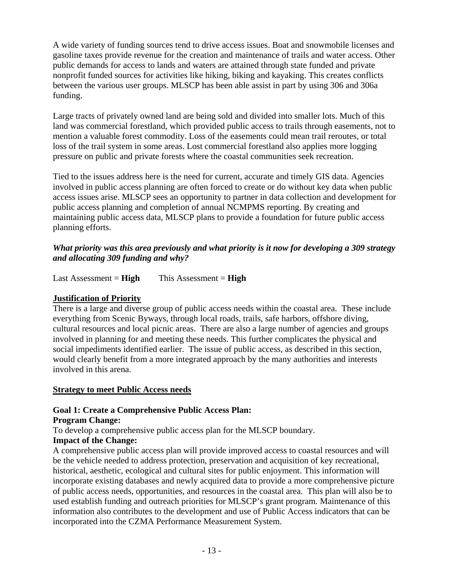A wide variety of funding sources tend to drive access issues. Boat and snowmobile licenses and gasoline taxes provide revenue for the creation and maintenance of trails and water access. Other public demands for access to lands and waters are attained through state funded and private nonprofit funded sources for activities like hiking, biking and kayaking. This creates conflicts between the various user groups. MLSCP has been able assist in part by using 306 and 306a funding.

Large tracts of privately owned land are being sold and divided into smaller lots. Much of this land was commercial forestland, which provided public access to trails through easements, not to mention a valuable forest commodity. Loss of the easements could mean trail reroutes, or total loss of the trail system in some areas. Lost commercial forestland also applies more logging pressure on public and private forests where the coastal communities seek recreation.

Tied to the issues address here is the need for current, accurate and timely GIS data. Agencies involved in public access planning are often forced to create or do without key data when public access issues arise. MLSCP sees an opportunity to partner in data collection and development for public access planning and completion of annual NCMPMS reporting. By creating and maintaining public access data, MLSCP plans to provide a foundation for future public access planning efforts.

#### *What priority was this area previously and what priority is it now for developing a 309 strategy and allocating 309 funding and why?*

Last Assessment = **High** This Assessment = **High**

### **Justification of Priority**

There is a large and diverse group of public access needs within the coastal area. These include everything from Scenic Byways, through local roads, trails, safe harbors, offshore diving, cultural resources and local picnic areas. There are also a large number of agencies and groups involved in planning for and meeting these needs. This further complicates the physical and social impediments identified earlier. The issue of public access, as described in this section, would clearly benefit from a more integrated approach by the many authorities and interests involved in this arena.

#### **Strategy to meet Public Access needs**

### **Goal 1: Create a Comprehensive Public Access Plan:**

#### **Program Change:**

To develop a comprehensive public access plan for the MLSCP boundary.

### **Impact of the Change:**

A comprehensive public access plan will provide improved access to coastal resources and will be the vehicle needed to address protection, preservation and acquisition of key recreational, historical, aesthetic, ecological and cultural sites for public enjoyment. This information will incorporate existing databases and newly acquired data to provide a more comprehensive picture of public access needs, opportunities, and resources in the coastal area. This plan will also be to used establish funding and outreach priorities for MLSCP's grant program. Maintenance of this information also contributes to the development and use of Public Access indicators that can be incorporated into the CZMA Performance Measurement System.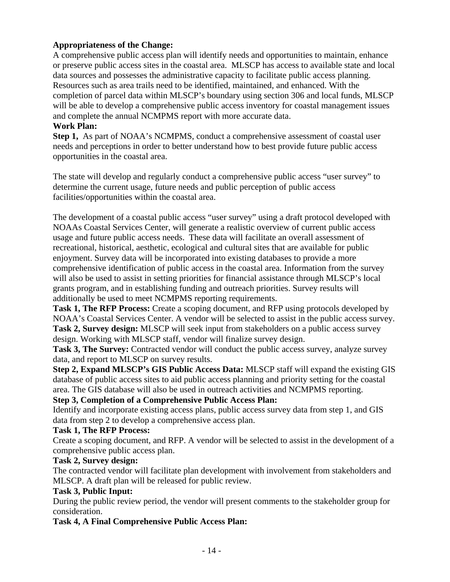### **Appropriateness of the Change:**

A comprehensive public access plan will identify needs and opportunities to maintain, enhance or preserve public access sites in the coastal area. MLSCP has access to available state and local data sources and possesses the administrative capacity to facilitate public access planning. Resources such as area trails need to be identified, maintained, and enhanced. With the completion of parcel data within MLSCP's boundary using section 306 and local funds, MLSCP will be able to develop a comprehensive public access inventory for coastal management issues and complete the annual NCMPMS report with more accurate data.

#### **Work Plan:**

**Step 1,** As part of NOAA's NCMPMS, conduct a comprehensive assessment of coastal user needs and perceptions in order to better understand how to best provide future public access opportunities in the coastal area.

The state will develop and regularly conduct a comprehensive public access "user survey" to determine the current usage, future needs and public perception of public access facilities/opportunities within the coastal area.

The development of a coastal public access "user survey" using a draft protocol developed with NOAAs Coastal Services Center, will generate a realistic overview of current public access usage and future public access needs. These data will facilitate an overall assessment of recreational, historical, aesthetic, ecological and cultural sites that are available for public enjoyment. Survey data will be incorporated into existing databases to provide a more comprehensive identification of public access in the coastal area. Information from the survey will also be used to assist in setting priorities for financial assistance through MLSCP's local grants program, and in establishing funding and outreach priorities. Survey results will additionally be used to meet NCMPMS reporting requirements.

**Task 1, The RFP Process:** Create a scoping document, and RFP using protocols developed by NOAA's Coastal Services Center. A vendor will be selected to assist in the public access survey. **Task 2, Survey design:** MLSCP will seek input from stakeholders on a public access survey design. Working with MLSCP staff, vendor will finalize survey design.

Task 3, The Survey: Contracted vendor will conduct the public access survey, analyze survey data, and report to MLSCP on survey results.

**Step 2, Expand MLSCP's GIS Public Access Data:** MLSCP staff will expand the existing GIS database of public access sites to aid public access planning and priority setting for the coastal area. The GIS database will also be used in outreach activities and NCMPMS reporting.

#### **Step 3, Completion of a Comprehensive Public Access Plan:**

Identify and incorporate existing access plans, public access survey data from step 1, and GIS data from step 2 to develop a comprehensive access plan.

#### **Task 1, The RFP Process:**

Create a scoping document, and RFP. A vendor will be selected to assist in the development of a comprehensive public access plan.

#### **Task 2, Survey design:**

The contracted vendor will facilitate plan development with involvement from stakeholders and MLSCP. A draft plan will be released for public review.

#### **Task 3, Public Input:**

During the public review period, the vendor will present comments to the stakeholder group for consideration.

#### **Task 4, A Final Comprehensive Public Access Plan:**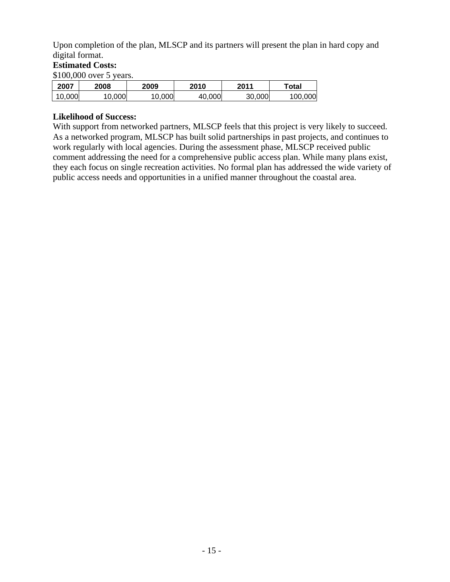Upon completion of the plan, MLSCP and its partners will present the plan in hard copy and digital format.

#### **Estimated Costs:**

\$100,000 over 5 years.

| 2007   | 2008  | 2009  | 2010   | 2011   | ™otal   |
|--------|-------|-------|--------|--------|---------|
| 10,000 | 0,000 | 0,000 | 40,000 | 30,000 | 100,000 |

#### **Likelihood of Success:**

With support from networked partners, MLSCP feels that this project is very likely to succeed. As a networked program, MLSCP has built solid partnerships in past projects, and continues to work regularly with local agencies. During the assessment phase, MLSCP received public comment addressing the need for a comprehensive public access plan. While many plans exist, they each focus on single recreation activities. No formal plan has addressed the wide variety of public access needs and opportunities in a unified manner throughout the coastal area.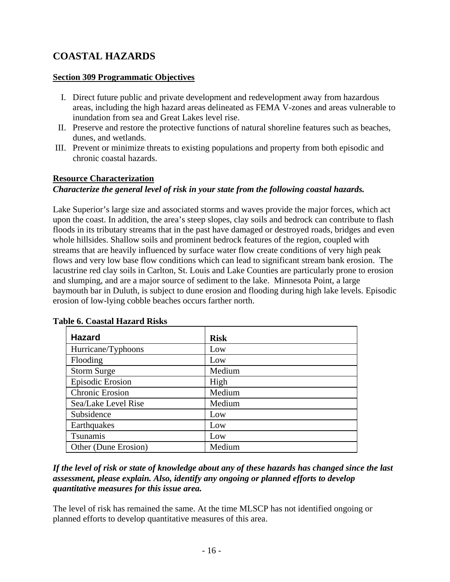## **COASTAL HAZARDS**

#### **Section 309 Programmatic Objectives**

- I. Direct future public and private development and redevelopment away from hazardous areas, including the high hazard areas delineated as FEMA V-zones and areas vulnerable to inundation from sea and Great Lakes level rise.
- II. Preserve and restore the protective functions of natural shoreline features such as beaches, dunes, and wetlands.
- III. Prevent or minimize threats to existing populations and property from both episodic and chronic coastal hazards.

#### **Resource Characterization**

#### *Characterize the general level of risk in your state from the following coastal hazards.*

Lake Superior's large size and associated storms and waves provide the major forces, which act upon the coast. In addition, the area's steep slopes, clay soils and bedrock can contribute to flash floods in its tributary streams that in the past have damaged or destroyed roads, bridges and even whole hillsides. Shallow soils and prominent bedrock features of the region, coupled with streams that are heavily influenced by surface water flow create conditions of very high peak flows and very low base flow conditions which can lead to significant stream bank erosion. The lacustrine red clay soils in Carlton, St. Louis and Lake Counties are particularly prone to erosion and slumping, and are a major source of sediment to the lake. Minnesota Point, a large baymouth bar in Duluth, is subject to dune erosion and flooding during high lake levels. Episodic erosion of low-lying cobble beaches occurs farther north.

| <b>Hazard</b>           | <b>Risk</b> |
|-------------------------|-------------|
| Hurricane/Typhoons      | Low         |
| Flooding                | Low         |
| <b>Storm Surge</b>      | Medium      |
| <b>Episodic Erosion</b> | High        |
| <b>Chronic Erosion</b>  | Medium      |
| Sea/Lake Level Rise     | Medium      |
| Subsidence              | Low         |
| Earthquakes             | Low         |
| Tsunamis                | Low         |
| Other (Dune Erosion)    | Medium      |

#### **Table 6. Coastal Hazard Risks**

*If the level of risk or state of knowledge about any of these hazards has changed since the last assessment, please explain. Also, identify any ongoing or planned efforts to develop quantitative measures for this issue area.* 

The level of risk has remained the same. At the time MLSCP has not identified ongoing or planned efforts to develop quantitative measures of this area.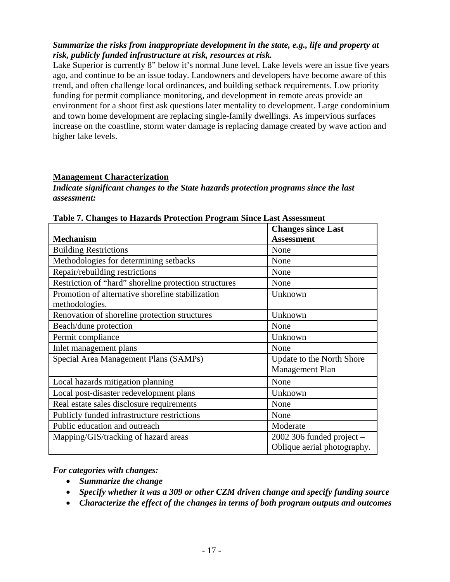#### *Summarize the risks from inappropriate development in the state, e.g., life and property at risk, publicly funded infrastructure at risk, resources at risk.*

Lake Superior is currently 8" below it's normal June level. Lake levels were an issue five years ago, and continue to be an issue today. Landowners and developers have become aware of this trend, and often challenge local ordinances, and building setback requirements. Low priority funding for permit compliance monitoring, and development in remote areas provide an environment for a shoot first ask questions later mentality to development. Large condominium and town home development are replacing single-family dwellings. As impervious surfaces increase on the coastline, storm water damage is replacing damage created by wave action and higher lake levels.

#### **Management Characterization**

#### *Indicate significant changes to the State hazards protection programs since the last assessment:*

|                                                       | <b>Changes since Last</b>     |
|-------------------------------------------------------|-------------------------------|
| <b>Mechanism</b>                                      | <b>Assessment</b>             |
| <b>Building Restrictions</b>                          | None                          |
| Methodologies for determining setbacks                | None                          |
| Repair/rebuilding restrictions                        | None                          |
| Restriction of "hard" shoreline protection structures | None                          |
| Promotion of alternative shoreline stabilization      | Unknown                       |
| methodologies.                                        |                               |
| Renovation of shoreline protection structures         | Unknown                       |
| Beach/dune protection                                 | None                          |
| Permit compliance                                     | Unknown                       |
| Inlet management plans                                | None                          |
| Special Area Management Plans (SAMPs)                 | Update to the North Shore     |
|                                                       | <b>Management Plan</b>        |
| Local hazards mitigation planning                     | None                          |
| Local post-disaster redevelopment plans               | Unknown                       |
| Real estate sales disclosure requirements             | None                          |
| Publicly funded infrastructure restrictions           | None                          |
| Public education and outreach                         | Moderate                      |
| Mapping/GIS/tracking of hazard areas                  | $2002$ 306 funded project $-$ |
|                                                       | Oblique aerial photography.   |

**Table 7. Changes to Hazards Protection Program Since Last Assessment** 

*For categories with changes:* 

- *Summarize the change*
- *Specify whether it was a 309 or other CZM driven change and specify funding source*
- *Characterize the effect of the changes in terms of both program outputs and outcomes*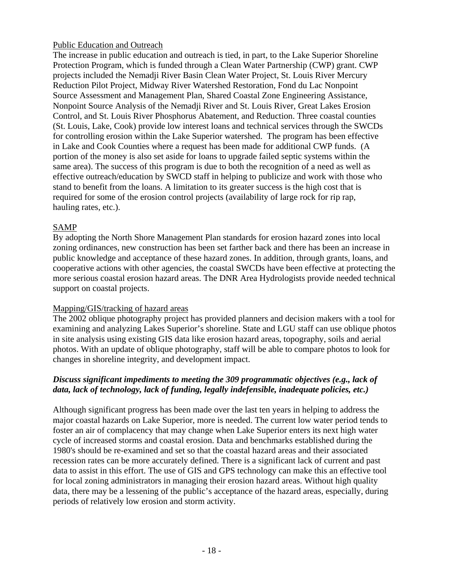#### Public Education and Outreach

The increase in public education and outreach is tied, in part, to the Lake Superior Shoreline Protection Program, which is funded through a Clean Water Partnership (CWP) grant. CWP projects included the Nemadji River Basin Clean Water Project, St. Louis River Mercury Reduction Pilot Project, Midway River Watershed Restoration, Fond du Lac Nonpoint Source Assessment and Management Plan, Shared Coastal Zone Engineering Assistance, Nonpoint Source Analysis of the Nemadji River and St. Louis River, Great Lakes Erosion Control, and St. Louis River Phosphorus Abatement, and Reduction. Three coastal counties (St. Louis, Lake, Cook) provide low interest loans and technical services through the SWCDs for controlling erosion within the Lake Superior watershed. The program has been effective in Lake and Cook Counties where a request has been made for additional CWP funds. (A portion of the money is also set aside for loans to upgrade failed septic systems within the same area). The success of this program is due to both the recognition of a need as well as effective outreach/education by SWCD staff in helping to publicize and work with those who stand to benefit from the loans. A limitation to its greater success is the high cost that is required for some of the erosion control projects (availability of large rock for rip rap, hauling rates, etc.).

#### SAMP

By adopting the North Shore Management Plan standards for erosion hazard zones into local zoning ordinances, new construction has been set farther back and there has been an increase in public knowledge and acceptance of these hazard zones. In addition, through grants, loans, and cooperative actions with other agencies, the coastal SWCDs have been effective at protecting the more serious coastal erosion hazard areas. The DNR Area Hydrologists provide needed technical support on coastal projects.

#### Mapping/GIS/tracking of hazard areas

The 2002 oblique photography project has provided planners and decision makers with a tool for examining and analyzing Lakes Superior's shoreline. State and LGU staff can use oblique photos in site analysis using existing GIS data like erosion hazard areas, topography, soils and aerial photos. With an update of oblique photography, staff will be able to compare photos to look for changes in shoreline integrity, and development impact.

### *Discuss significant impediments to meeting the 309 programmatic objectives (e.g., lack of data, lack of technology, lack of funding, legally indefensible, inadequate policies, etc.)*

Although significant progress has been made over the last ten years in helping to address the major coastal hazards on Lake Superior, more is needed. The current low water period tends to foster an air of complacency that may change when Lake Superior enters its next high water cycle of increased storms and coastal erosion. Data and benchmarks established during the 1980's should be re-examined and set so that the coastal hazard areas and their associated recession rates can be more accurately defined. There is a significant lack of current and past data to assist in this effort. The use of GIS and GPS technology can make this an effective tool for local zoning administrators in managing their erosion hazard areas. Without high quality data, there may be a lessening of the public's acceptance of the hazard areas, especially, during periods of relatively low erosion and storm activity.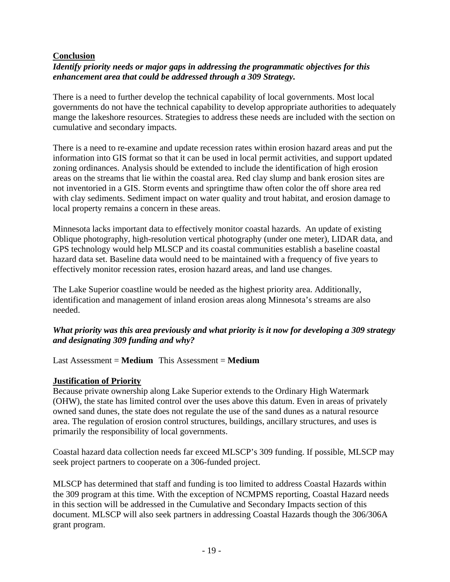#### **Conclusion**

#### *Identify priority needs or major gaps in addressing the programmatic objectives for this enhancement area that could be addressed through a 309 Strategy.*

There is a need to further develop the technical capability of local governments. Most local governments do not have the technical capability to develop appropriate authorities to adequately mange the lakeshore resources. Strategies to address these needs are included with the section on cumulative and secondary impacts.

There is a need to re-examine and update recession rates within erosion hazard areas and put the information into GIS format so that it can be used in local permit activities, and support updated zoning ordinances. Analysis should be extended to include the identification of high erosion areas on the streams that lie within the coastal area. Red clay slump and bank erosion sites are not inventoried in a GIS. Storm events and springtime thaw often color the off shore area red with clay sediments. Sediment impact on water quality and trout habitat, and erosion damage to local property remains a concern in these areas.

Minnesota lacks important data to effectively monitor coastal hazards. An update of existing Oblique photography, high-resolution vertical photography (under one meter), LIDAR data, and GPS technology would help MLSCP and its coastal communities establish a baseline coastal hazard data set. Baseline data would need to be maintained with a frequency of five years to effectively monitor recession rates, erosion hazard areas, and land use changes.

The Lake Superior coastline would be needed as the highest priority area. Additionally, identification and management of inland erosion areas along Minnesota's streams are also needed.

#### *What priority was this area previously and what priority is it now for developing a 309 strategy and designating 309 funding and why?*

#### Last Assessment = **Medium** This Assessment = **Medium**

#### **Justification of Priority**

Because private ownership along Lake Superior extends to the Ordinary High Watermark (OHW), the state has limited control over the uses above this datum. Even in areas of privately owned sand dunes, the state does not regulate the use of the sand dunes as a natural resource area. The regulation of erosion control structures, buildings, ancillary structures, and uses is primarily the responsibility of local governments.

Coastal hazard data collection needs far exceed MLSCP's 309 funding. If possible, MLSCP may seek project partners to cooperate on a 306-funded project.

MLSCP has determined that staff and funding is too limited to address Coastal Hazards within the 309 program at this time. With the exception of NCMPMS reporting, Coastal Hazard needs in this section will be addressed in the Cumulative and Secondary Impacts section of this document. MLSCP will also seek partners in addressing Coastal Hazards though the 306/306A grant program.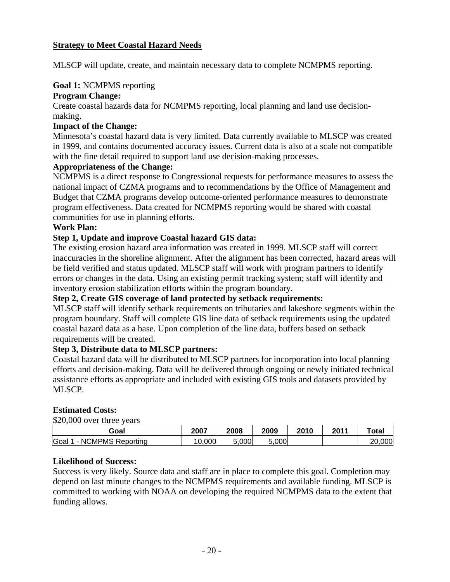#### **Strategy to Meet Coastal Hazard Needs**

MLSCP will update, create, and maintain necessary data to complete NCMPMS reporting.

#### **Goal 1:** NCMPMS reporting

#### **Program Change:**

Create coastal hazards data for NCMPMS reporting, local planning and land use decisionmaking.

#### **Impact of the Change:**

Minnesota's coastal hazard data is very limited. Data currently available to MLSCP was created in 1999, and contains documented accuracy issues. Current data is also at a scale not compatible with the fine detail required to support land use decision-making processes.

#### **Appropriateness of the Change:**

NCMPMS is a direct response to Congressional requests for performance measures to assess the national impact of CZMA programs and to recommendations by the Office of Management and Budget that CZMA programs develop outcome-oriented performance measures to demonstrate program effectiveness. Data created for NCMPMS reporting would be shared with coastal communities for use in planning efforts.

#### **Work Plan:**

#### **Step 1, Update and improve Coastal hazard GIS data:**

The existing erosion hazard area information was created in 1999. MLSCP staff will correct inaccuracies in the shoreline alignment. After the alignment has been corrected, hazard areas will be field verified and status updated. MLSCP staff will work with program partners to identify errors or changes in the data. Using an existing permit tracking system; staff will identify and inventory erosion stabilization efforts within the program boundary.

#### **Step 2, Create GIS coverage of land protected by setback requirements:**

MLSCP staff will identify setback requirements on tributaries and lakeshore segments within the program boundary. Staff will complete GIS line data of setback requirements using the updated coastal hazard data as a base. Upon completion of the line data, buffers based on setback requirements will be created.

### **Step 3, Distribute data to MLSCP partners:**

Coastal hazard data will be distributed to MLSCP partners for incorporation into local planning efforts and decision-making. Data will be delivered through ongoing or newly initiated technical assistance efforts as appropriate and included with existing GIS tools and datasets provided by MLSCP.

#### **Estimated Costs:**

\$20,000 over three years

| Goal                                     | 2007  | 2008  | 2009      | 2010 | 2011 | Total     |
|------------------------------------------|-------|-------|-----------|------|------|-----------|
| Goal<br>CMPMS.<br>. NC<br>-<br>Reportina | 0.000 | 5,000 | 000,<br>∽ |      |      | 000<br>ററ |

#### **Likelihood of Success:**

Success is very likely. Source data and staff are in place to complete this goal. Completion may depend on last minute changes to the NCMPMS requirements and available funding. MLSCP is committed to working with NOAA on developing the required NCMPMS data to the extent that funding allows.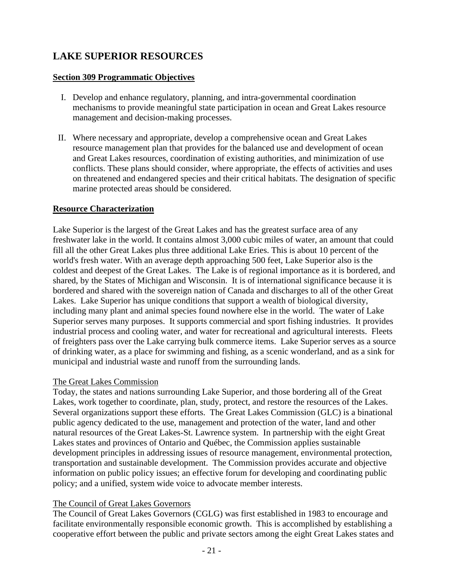## **LAKE SUPERIOR RESOURCES**

#### **Section 309 Programmatic Objectives**

- I. Develop and enhance regulatory, planning, and intra-governmental coordination mechanisms to provide meaningful state participation in ocean and Great Lakes resource management and decision-making processes.
- II. Where necessary and appropriate, develop a comprehensive ocean and Great Lakes resource management plan that provides for the balanced use and development of ocean and Great Lakes resources, coordination of existing authorities, and minimization of use conflicts. These plans should consider, where appropriate, the effects of activities and uses on threatened and endangered species and their critical habitats. The designation of specific marine protected areas should be considered.

#### **Resource Characterization**

Lake Superior is the largest of the Great Lakes and has the greatest surface area of any freshwater lake in the world. It contains almost 3,000 cubic miles of water, an amount that could fill all the other Great Lakes plus three additional Lake Eries. This is about 10 percent of the world's fresh water. With an average depth approaching 500 feet, Lake Superior also is the coldest and deepest of the Great Lakes. The Lake is of regional importance as it is bordered, and shared, by the States of Michigan and Wisconsin. It is of international significance because it is bordered and shared with the sovereign nation of Canada and discharges to all of the other Great Lakes. Lake Superior has unique conditions that support a wealth of biological diversity, including many plant and animal species found nowhere else in the world. The water of Lake Superior serves many purposes. It supports commercial and sport fishing industries. It provides industrial process and cooling water, and water for recreational and agricultural interests. Fleets of freighters pass over the Lake carrying bulk commerce items. Lake Superior serves as a source of drinking water, as a place for swimming and fishing, as a scenic wonderland, and as a sink for municipal and industrial waste and runoff from the surrounding lands.

#### The Great Lakes Commission

Today, the states and nations surrounding Lake Superior, and those bordering all of the Great Lakes, work together to coordinate, plan, study, protect, and restore the resources of the Lakes. Several organizations support these efforts. The Great Lakes Commission (GLC) is a binational public agency dedicated to the use, management and protection of the water, land and other natural resources of the Great Lakes-St. Lawrence system. In partnership with the eight Great Lakes states and provinces of Ontario and Québec, the Commission applies sustainable development principles in addressing issues of resource management, environmental protection, transportation and sustainable development. The Commission provides accurate and objective information on public policy issues; an effective forum for developing and coordinating public policy; and a unified, system wide voice to advocate member interests.

#### The Council of Great Lakes Governors

The Council of Great Lakes Governors (CGLG) was first established in 1983 to encourage and facilitate environmentally responsible economic growth. This is accomplished by establishing a cooperative effort between the public and private sectors among the eight Great Lakes states and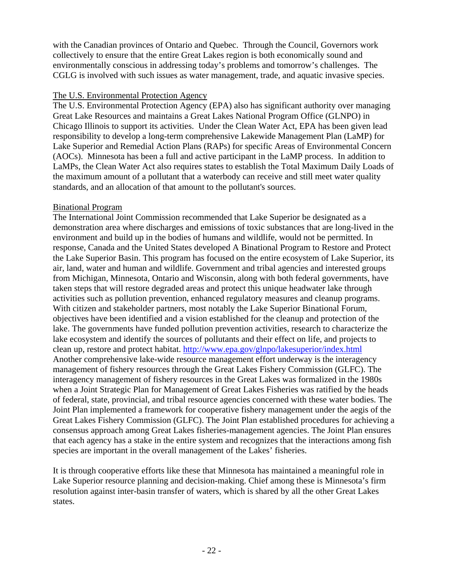with the Canadian provinces of Ontario and Quebec. Through the Council, Governors work collectively to ensure that the entire Great Lakes region is both economically sound and environmentally conscious in addressing today's problems and tomorrow's challenges. The CGLG is involved with such issues as water management, trade, and aquatic invasive species.

#### The U.S. Environmental Protection Agency

The U.S. Environmental Protection Agency (EPA) also has significant authority over managing Great Lake Resources and maintains a Great Lakes National Program Office (GLNPO) in Chicago Illinois to support its activities. Under the Clean Water Act, EPA has been given lead responsibility to develop a long-term comprehensive Lakewide Management Plan (LaMP) for Lake Superior and Remedial Action Plans (RAPs) for specific Areas of Environmental Concern (AOCs). Minnesota has been a full and active participant in the LaMP process. In addition to LaMPs, the Clean Water Act also requires states to establish the Total Maximum Daily Loads of the maximum amount of a pollutant that a waterbody can receive and still meet water quality standards, and an allocation of that amount to the pollutant's sources.

#### Binational Program

The International Joint Commission recommended that Lake Superior be designated as a demonstration area where discharges and emissions of toxic substances that are long-lived in the environment and build up in the bodies of humans and wildlife, would not be permitted. In response, Canada and the United States developed A Binational Program to Restore and Protect the Lake Superior Basin. This program has focused on the entire ecosystem of Lake Superior, its air, land, water and human and wildlife. Government and tribal agencies and interested groups from Michigan, Minnesota, Ontario and Wisconsin, along with both federal governments, have taken steps that will restore degraded areas and protect this unique headwater lake through activities such as pollution prevention, enhanced regulatory measures and cleanup programs. With citizen and stakeholder partners, most notably the Lake Superior Binational Forum, objectives have been identified and a vision established for the cleanup and protection of the lake. The governments have funded pollution prevention activities, research to characterize the lake ecosystem and identify the sources of pollutants and their effect on life, and projects to clean up, restore and protect habitat. http://www.epa.gov/glnpo/lakesuperior/index.html Another comprehensive lake-wide resource management effort underway is the interagency management of fishery resources through the Great Lakes Fishery Commission (GLFC). The interagency management of fishery resources in the Great Lakes was formalized in the 1980s when a Joint Strategic Plan for Management of Great Lakes Fisheries was ratified by the heads of federal, state, provincial, and tribal resource agencies concerned with these water bodies. The Joint Plan implemented a framework for cooperative fishery management under the aegis of the Great Lakes Fishery Commission (GLFC). The Joint Plan established procedures for achieving a consensus approach among Great Lakes fisheries-management agencies. The Joint Plan ensures that each agency has a stake in the entire system and recognizes that the interactions among fish species are important in the overall management of the Lakes' fisheries.

It is through cooperative efforts like these that Minnesota has maintained a meaningful role in Lake Superior resource planning and decision-making. Chief among these is Minnesota's firm resolution against inter-basin transfer of waters, which is shared by all the other Great Lakes states.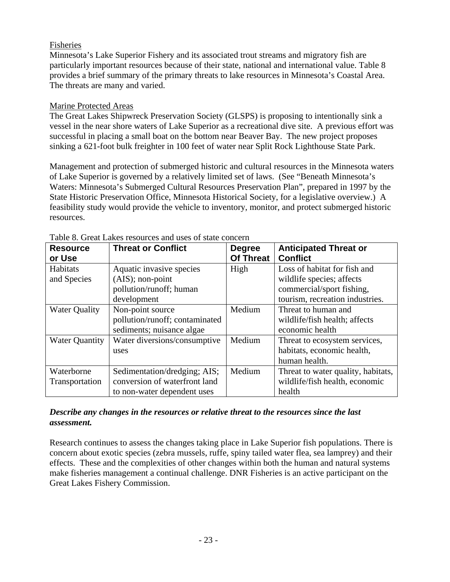#### Fisheries

Minnesota's Lake Superior Fishery and its associated trout streams and migratory fish are particularly important resources because of their state, national and international value. Table 8 provides a brief summary of the primary threats to lake resources in Minnesota's Coastal Area. The threats are many and varied.

#### Marine Protected Areas

The Great Lakes Shipwreck Preservation Society (GLSPS) is proposing to intentionally sink a vessel in the near shore waters of Lake Superior as a recreational dive site. A previous effort was successful in placing a small boat on the bottom near Beaver Bay. The new project proposes sinking a 621-foot bulk freighter in 100 feet of water near Split Rock Lighthouse State Park.

Management and protection of submerged historic and cultural resources in the Minnesota waters of Lake Superior is governed by a relatively limited set of laws. (See "Beneath Minnesota's Waters: Minnesota's Submerged Cultural Resources Preservation Plan", prepared in 1997 by the State Historic Preservation Office, Minnesota Historical Society, for a legislative overview.) A feasibility study would provide the vehicle to inventory, monitor, and protect submerged historic resources.

| <b>Resource</b>       | <b>Threat or Conflict</b>      | <b>Degree</b>    | <b>Anticipated Threat or</b>       |
|-----------------------|--------------------------------|------------------|------------------------------------|
| or Use                |                                | <b>Of Threat</b> | <b>Conflict</b>                    |
| Habitats              | Aquatic invasive species       | High             | Loss of habitat for fish and       |
| and Species           | (AIS); non-point               |                  | wildlife species; affects          |
|                       | pollution/runoff; human        |                  | commercial/sport fishing,          |
|                       | development                    |                  | tourism, recreation industries.    |
| <b>Water Quality</b>  | Non-point source               | Medium           | Threat to human and                |
|                       | pollution/runoff; contaminated |                  | wildlife/fish health; affects      |
|                       | sediments; nuisance algae      |                  | economic health                    |
| <b>Water Quantity</b> | Water diversions/consumptive   | Medium           | Threat to ecosystem services,      |
|                       | uses                           |                  | habitats, economic health,         |
|                       |                                |                  | human health.                      |
| Waterborne            | Sedimentation/dredging; AIS;   | Medium           | Threat to water quality, habitats, |
| Transportation        | conversion of waterfront land  |                  | wildlife/fish health, economic     |
|                       | to non-water dependent uses    |                  | health                             |

Table 8. Great Lakes resources and uses of state concern

#### *Describe any changes in the resources or relative threat to the resources since the last assessment.*

Research continues to assess the changes taking place in Lake Superior fish populations. There is concern about exotic species (zebra mussels, ruffe, spiny tailed water flea, sea lamprey) and their effects. These and the complexities of other changes within both the human and natural systems make fisheries management a continual challenge. DNR Fisheries is an active participant on the Great Lakes Fishery Commission.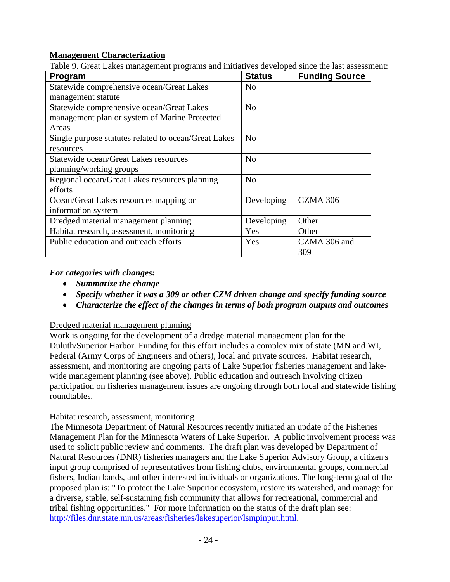#### **Management Characterization**

Table 9. Great Lakes management programs and initiatives developed since the last assessment:

| Program                                              | <b>Status</b>  | <b>Funding Source</b> |
|------------------------------------------------------|----------------|-----------------------|
| Statewide comprehensive ocean/Great Lakes            | N <sub>0</sub> |                       |
| management statute                                   |                |                       |
| Statewide comprehensive ocean/Great Lakes            | N <sub>0</sub> |                       |
| management plan or system of Marine Protected        |                |                       |
| Areas                                                |                |                       |
| Single purpose statutes related to ocean/Great Lakes | N <sub>0</sub> |                       |
| resources                                            |                |                       |
| Statewide ocean/Great Lakes resources                | N <sub>0</sub> |                       |
| planning/working groups                              |                |                       |
| Regional ocean/Great Lakes resources planning        | N <sub>o</sub> |                       |
| efforts                                              |                |                       |
| Ocean/Great Lakes resources mapping or               | Developing     | <b>CZMA 306</b>       |
| information system                                   |                |                       |
| Dredged material management planning                 | Developing     | Other                 |
| Habitat research, assessment, monitoring             | <b>Yes</b>     | Other                 |
| Public education and outreach efforts                | Yes            | CZMA 306 and          |
|                                                      |                | 309                   |

#### *For categories with changes:*

- *Summarize the change*
- *Specify whether it was a 309 or other CZM driven change and specify funding source*
- *Characterize the effect of the changes in terms of both program outputs and outcomes*

#### Dredged material management planning

Work is ongoing for the development of a dredge material management plan for the Duluth/Superior Harbor. Funding for this effort includes a complex mix of state (MN and WI, Federal (Army Corps of Engineers and others), local and private sources. Habitat research, assessment, and monitoring are ongoing parts of Lake Superior fisheries management and lakewide management planning (see above). Public education and outreach involving citizen participation on fisheries management issues are ongoing through both local and statewide fishing roundtables.

#### Habitat research, assessment, monitoring

The Minnesota Department of Natural Resources recently initiated an update of the Fisheries Management Plan for the Minnesota Waters of Lake Superior. A public involvement process was used to solicit public review and comments. The draft plan was developed by Department of Natural Resources (DNR) fisheries managers and the Lake Superior Advisory Group, a citizen's input group comprised of representatives from fishing clubs, environmental groups, commercial fishers, Indian bands, and other interested individuals or organizations. The long-term goal of the proposed plan is: "To protect the Lake Superior ecosystem, restore its watershed, and manage for a diverse, stable, self-sustaining fish community that allows for recreational, commercial and tribal fishing opportunities." For more information on the status of the draft plan see: http://files.dnr.state.mn.us/areas/fisheries/lakesuperior/lsmpinput.html.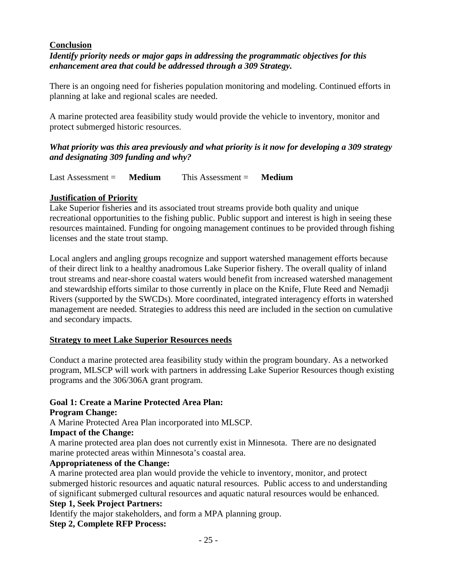#### **Conclusion**

#### *Identify priority needs or major gaps in addressing the programmatic objectives for this enhancement area that could be addressed through a 309 Strategy.*

There is an ongoing need for fisheries population monitoring and modeling. Continued efforts in planning at lake and regional scales are needed.

A marine protected area feasibility study would provide the vehicle to inventory, monitor and protect submerged historic resources.

#### *What priority was this area previously and what priority is it now for developing a 309 strategy and designating 309 funding and why?*

Last Assessment = **Medium** This Assessment = **Medium**

#### **Justification of Priority**

Lake Superior fisheries and its associated trout streams provide both quality and unique recreational opportunities to the fishing public. Public support and interest is high in seeing these resources maintained. Funding for ongoing management continues to be provided through fishing licenses and the state trout stamp.

Local anglers and angling groups recognize and support watershed management efforts because of their direct link to a healthy anadromous Lake Superior fishery. The overall quality of inland trout streams and near-shore coastal waters would benefit from increased watershed management and stewardship efforts similar to those currently in place on the Knife, Flute Reed and Nemadji Rivers (supported by the SWCDs). More coordinated, integrated interagency efforts in watershed management are needed. Strategies to address this need are included in the section on cumulative and secondary impacts.

#### **Strategy to meet Lake Superior Resources needs**

Conduct a marine protected area feasibility study within the program boundary. As a networked program, MLSCP will work with partners in addressing Lake Superior Resources though existing programs and the 306/306A grant program.

#### **Goal 1: Create a Marine Protected Area Plan:**

**Program Change:** 

A Marine Protected Area Plan incorporated into MLSCP.

#### **Impact of the Change:**

A marine protected area plan does not currently exist in Minnesota. There are no designated marine protected areas within Minnesota's coastal area.

#### **Appropriateness of the Change:**

A marine protected area plan would provide the vehicle to inventory, monitor, and protect submerged historic resources and aquatic natural resources. Public access to and understanding of significant submerged cultural resources and aquatic natural resources would be enhanced.

#### **Step 1, Seek Project Partners:**

Identify the major stakeholders, and form a MPA planning group.

#### **Step 2, Complete RFP Process:**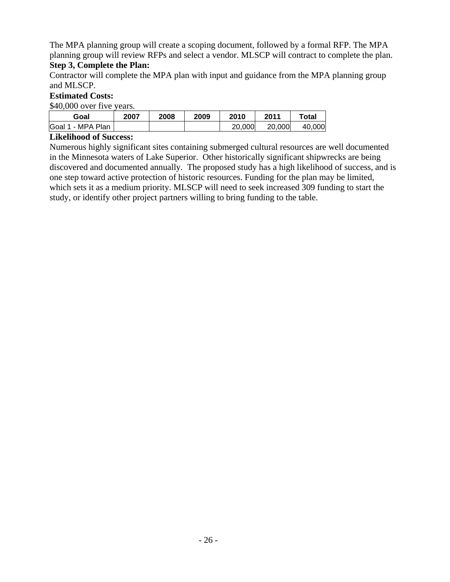The MPA planning group will create a scoping document, followed by a formal RFP. The MPA planning group will review RFPs and select a vendor. MLSCP will contract to complete the plan.

#### **Step 3, Complete the Plan:**

Contractor will complete the MPA plan with input and guidance from the MPA planning group and MLSCP.

#### **Estimated Costs:**

\$40,000 over five years.

| Goal              | 2007 | 2008 | 2009 | 2010   | 2011   | ™otal  |
|-------------------|------|------|------|--------|--------|--------|
| Goal 1 - MPA Plan |      |      |      | 20,000 | 20,000 | 40.000 |

#### **Likelihood of Success:**

Numerous highly significant sites containing submerged cultural resources are well documented in the Minnesota waters of Lake Superior. Other historically significant shipwrecks are being discovered and documented annually. The proposed study has a high likelihood of success, and is one step toward active protection of historic resources. Funding for the plan may be limited, which sets it as a medium priority. MLSCP will need to seek increased 309 funding to start the study, or identify other project partners willing to bring funding to the table.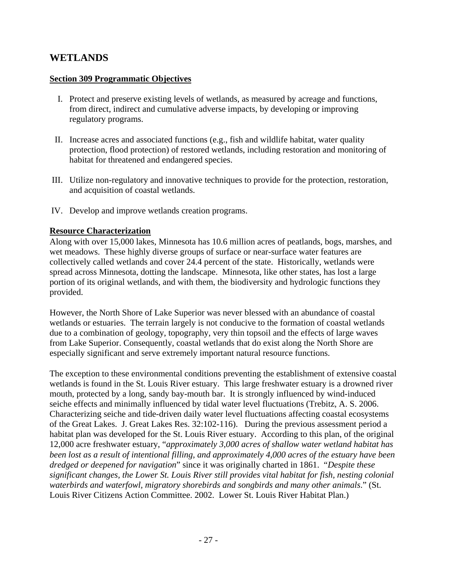### **WETLANDS**

#### **Section 309 Programmatic Objectives**

- I. Protect and preserve existing levels of wetlands, as measured by acreage and functions, from direct, indirect and cumulative adverse impacts, by developing or improving regulatory programs.
- II. Increase acres and associated functions (e.g., fish and wildlife habitat, water quality protection, flood protection) of restored wetlands, including restoration and monitoring of habitat for threatened and endangered species.
- III. Utilize non-regulatory and innovative techniques to provide for the protection, restoration, and acquisition of coastal wetlands.
- IV. Develop and improve wetlands creation programs.

#### **Resource Characterization**

Along with over 15,000 lakes, Minnesota has 10.6 million acres of peatlands, bogs, marshes, and wet meadows. These highly diverse groups of surface or near-surface water features are collectively called wetlands and cover 24.4 percent of the state. Historically, wetlands were spread across Minnesota, dotting the landscape. Minnesota, like other states, has lost a large portion of its original wetlands, and with them, the biodiversity and hydrologic functions they provided.

However, the North Shore of Lake Superior was never blessed with an abundance of coastal wetlands or estuaries. The terrain largely is not conducive to the formation of coastal wetlands due to a combination of geology, topography, very thin topsoil and the effects of large waves from Lake Superior. Consequently, coastal wetlands that do exist along the North Shore are especially significant and serve extremely important natural resource functions.

The exception to these environmental conditions preventing the establishment of extensive coastal wetlands is found in the St. Louis River estuary. This large freshwater estuary is a drowned river mouth, protected by a long, sandy bay-mouth bar. It is strongly influenced by wind-induced seiche effects and minimally influenced by tidal water level fluctuations (Trebitz, A. S. 2006. Characterizing seiche and tide-driven daily water level fluctuations affecting coastal ecosystems of the Great Lakes. J. Great Lakes Res. 32:102-116). During the previous assessment period a habitat plan was developed for the St. Louis River estuary. According to this plan, of the original 12,000 acre freshwater estuary, "*approximately 3,000 acres of shallow water wetland habitat has been lost as a result of intentional filling, and approximately 4,000 acres of the estuary have been dredged or deepened for navigation*" since it was originally charted in 1861. "*Despite these significant changes, the Lower St. Louis River still provides vital habitat for fish, nesting colonial waterbirds and waterfowl, migratory shorebirds and songbirds and many other animals*." (St. Louis River Citizens Action Committee. 2002. Lower St. Louis River Habitat Plan.)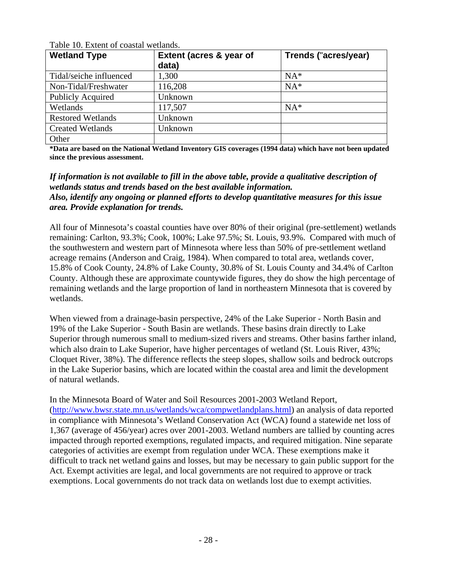| <b>Wetland Type</b>      | Extent (acres & year of<br>data) | Trends ("acres/year) |
|--------------------------|----------------------------------|----------------------|
| Tidal/seiche influenced  | 1,300                            | $NA*$                |
| Non-Tidal/Freshwater     | 116,208                          | $NA*$                |
| <b>Publicly Acquired</b> | Unknown                          |                      |
| Wetlands                 | 117,507                          | $NA*$                |
| <b>Restored Wetlands</b> | Unknown                          |                      |
| <b>Created Wetlands</b>  | Unknown                          |                      |
| Other                    |                                  |                      |

Table 10. Extent of coastal wetlands.

**\*Data are based on the National Wetland Inventory GIS coverages (1994 data) which have not been updated since the previous assessment.** 

#### *If information is not available to fill in the above table, provide a qualitative description of wetlands status and trends based on the best available information. Also, identify any ongoing or planned efforts to develop quantitative measures for this issue area. Provide explanation for trends.*

All four of Minnesota's coastal counties have over 80% of their original (pre-settlement) wetlands remaining: Carlton, 93.3%; Cook, 100%; Lake 97.5%; St. Louis, 93.9%. Compared with much of the southwestern and western part of Minnesota where less than 50% of pre-settlement wetland acreage remains (Anderson and Craig, 1984). When compared to total area, wetlands cover, 15.8% of Cook County, 24.8% of Lake County, 30.8% of St. Louis County and 34.4% of Carlton County. Although these are approximate countywide figures, they do show the high percentage of remaining wetlands and the large proportion of land in northeastern Minnesota that is covered by wetlands.

When viewed from a drainage-basin perspective, 24% of the Lake Superior - North Basin and 19% of the Lake Superior - South Basin are wetlands. These basins drain directly to Lake Superior through numerous small to medium-sized rivers and streams. Other basins farther inland, which also drain to Lake Superior, have higher percentages of wetland (St. Louis River, 43%; Cloquet River, 38%). The difference reflects the steep slopes, shallow soils and bedrock outcrops in the Lake Superior basins, which are located within the coastal area and limit the development of natural wetlands.

In the Minnesota Board of Water and Soil Resources 2001-2003 Wetland Report, (http://www.bwsr.state.mn.us/wetlands/wca/compwetlandplans.html) an analysis of data reported in compliance with Minnesota's Wetland Conservation Act (WCA) found a statewide net loss of 1,367 (average of 456/year) acres over 2001-2003. Wetland numbers are tallied by counting acres impacted through reported exemptions, regulated impacts, and required mitigation. Nine separate categories of activities are exempt from regulation under WCA. These exemptions make it difficult to track net wetland gains and losses, but may be necessary to gain public support for the Act. Exempt activities are legal, and local governments are not required to approve or track exemptions. Local governments do not track data on wetlands lost due to exempt activities.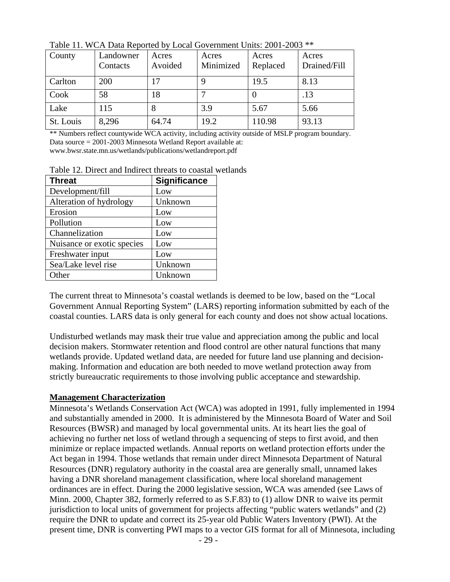| County    | Landowner<br>Contacts | Acres<br>Avoided | Acres<br>Minimized | Acres<br>Replaced | Acres<br>Drained/Fill |
|-----------|-----------------------|------------------|--------------------|-------------------|-----------------------|
| Carlton   | 200                   |                  |                    | 19.5              | 8.13                  |
| Cook      | 58                    | 18               |                    |                   | .13                   |
| Lake      | 115                   |                  | 3.9                | 5.67              | 5.66                  |
| St. Louis | 8,296                 | 64.74            | 19.2               | 110.98            | 93.13                 |

Table 11. WCA Data Reported by Local Government Units: 2001-2003 \*\*

\*\* Numbers reflect countywide WCA activity, including activity outside of MSLP program boundary. Data source = 2001-2003 Minnesota Wetland Report available at: www.bwsr.state.mn.us/wetlands/publications/wetlandreport.pdf

Table 12. Direct and Indirect threats to coastal wetlands

| <b>Threat</b>              | <b>Significance</b> |
|----------------------------|---------------------|
| Development/fill           | Low                 |
| Alteration of hydrology    | Unknown             |
| Erosion                    | Low                 |
| Pollution                  | Low                 |
| Channelization             | Low                 |
| Nuisance or exotic species | Low                 |
| Freshwater input           | Low                 |
| Sea/Lake level rise        | Unknown             |
| Other                      | Unknown             |

The current threat to Minnesota's coastal wetlands is deemed to be low, based on the "Local Government Annual Reporting System" (LARS) reporting information submitted by each of the coastal counties. LARS data is only general for each county and does not show actual locations.

Undisturbed wetlands may mask their true value and appreciation among the public and local decision makers. Stormwater retention and flood control are other natural functions that many wetlands provide. Updated wetland data, are needed for future land use planning and decisionmaking. Information and education are both needed to move wetland protection away from strictly bureaucratic requirements to those involving public acceptance and stewardship.

#### **Management Characterization**

Minnesota's Wetlands Conservation Act (WCA) was adopted in 1991, fully implemented in 1994 and substantially amended in 2000. It is administered by the Minnesota Board of Water and Soil Resources (BWSR) and managed by local governmental units. At its heart lies the goal of achieving no further net loss of wetland through a sequencing of steps to first avoid, and then minimize or replace impacted wetlands. Annual reports on wetland protection efforts under the Act began in 1994. Those wetlands that remain under direct Minnesota Department of Natural Resources (DNR) regulatory authority in the coastal area are generally small, unnamed lakes having a DNR shoreland management classification, where local shoreland management ordinances are in effect. During the 2000 legislative session, WCA was amended (see Laws of Minn. 2000, Chapter 382, formerly referred to as S.F.83) to (1) allow DNR to waive its permit jurisdiction to local units of government for projects affecting "public waters wetlands" and (2) require the DNR to update and correct its 25-year old Public Waters Inventory (PWI). At the present time, DNR is converting PWI maps to a vector GIS format for all of Minnesota, including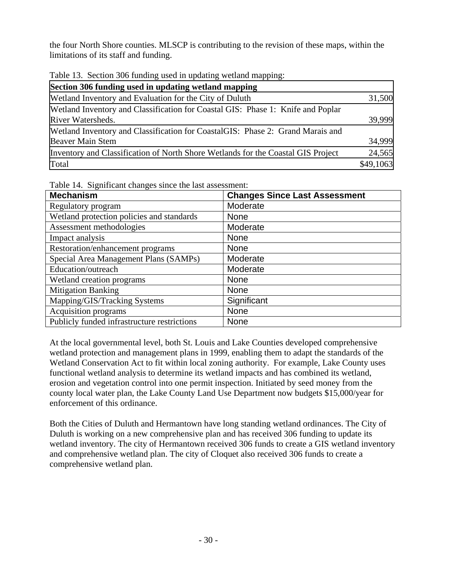the four North Shore counties. MLSCP is contributing to the revision of these maps, within the limitations of its staff and funding.

Table 13. Section 306 funding used in updating wetland mapping:

| Section 306 funding used in updating wetland mapping                             |           |
|----------------------------------------------------------------------------------|-----------|
| Wetland Inventory and Evaluation for the City of Duluth                          | 31,500    |
| Wetland Inventory and Classification for Coastal GIS: Phase 1: Knife and Poplar  |           |
| River Watersheds.                                                                | 39,999    |
| Wetland Inventory and Classification for CoastalGIS: Phase 2: Grand Marais and   |           |
| <b>Beaver Main Stem</b>                                                          | 34,999    |
| Inventory and Classification of North Shore Wetlands for the Coastal GIS Project | 24,565    |
| Total                                                                            | \$49,1063 |

Table 14. Significant changes since the last assessment:

| <b>Mechanism</b>                            | <b>Changes Since Last Assessment</b> |
|---------------------------------------------|--------------------------------------|
| Regulatory program                          | Moderate                             |
| Wetland protection policies and standards   | None                                 |
| Assessment methodologies                    | Moderate                             |
| Impact analysis                             | <b>None</b>                          |
| Restoration/enhancement programs            | <b>None</b>                          |
| Special Area Management Plans (SAMPs)       | Moderate                             |
| Education/outreach                          | Moderate                             |
| Wetland creation programs                   | <b>None</b>                          |
| <b>Mitigation Banking</b>                   | None                                 |
| Mapping/GIS/Tracking Systems                | Significant                          |
| Acquisition programs                        | <b>None</b>                          |
| Publicly funded infrastructure restrictions | <b>None</b>                          |

At the local governmental level, both St. Louis and Lake Counties developed comprehensive wetland protection and management plans in 1999, enabling them to adapt the standards of the Wetland Conservation Act to fit within local zoning authority. For example, Lake County uses functional wetland analysis to determine its wetland impacts and has combined its wetland, erosion and vegetation control into one permit inspection. Initiated by seed money from the county local water plan, the Lake County Land Use Department now budgets \$15,000/year for enforcement of this ordinance.

Both the Cities of Duluth and Hermantown have long standing wetland ordinances. The City of Duluth is working on a new comprehensive plan and has received 306 funding to update its wetland inventory. The city of Hermantown received 306 funds to create a GIS wetland inventory and comprehensive wetland plan. The city of Cloquet also received 306 funds to create a comprehensive wetland plan.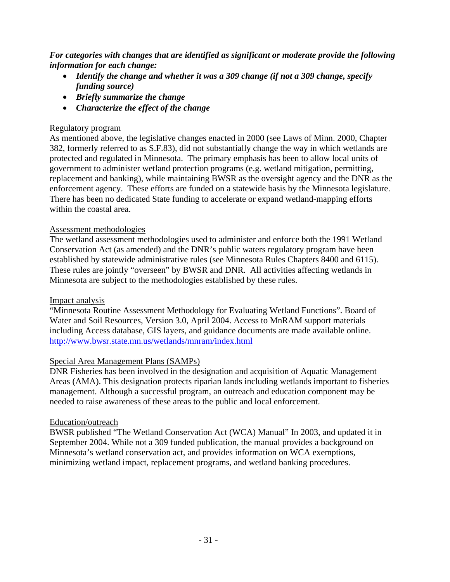*For categories with changes that are identified as significant or moderate provide the following information for each change:* 

- *Identify the change and whether it was a 309 change (if not a 309 change, specify funding source)*
- *Briefly summarize the change*
- *Characterize the effect of the change*

### Regulatory program

As mentioned above, the legislative changes enacted in 2000 (see Laws of Minn. 2000, Chapter 382, formerly referred to as S.F.83), did not substantially change the way in which wetlands are protected and regulated in Minnesota. The primary emphasis has been to allow local units of government to administer wetland protection programs (e.g. wetland mitigation, permitting, replacement and banking), while maintaining BWSR as the oversight agency and the DNR as the enforcement agency. These efforts are funded on a statewide basis by the Minnesota legislature. There has been no dedicated State funding to accelerate or expand wetland-mapping efforts within the coastal area.

### Assessment methodologies

The wetland assessment methodologies used to administer and enforce both the 1991 Wetland Conservation Act (as amended) and the DNR's public waters regulatory program have been established by statewide administrative rules (see Minnesota Rules Chapters 8400 and 6115). These rules are jointly "overseen" by BWSR and DNR. All activities affecting wetlands in Minnesota are subject to the methodologies established by these rules.

### Impact analysis

"Minnesota Routine Assessment Methodology for Evaluating Wetland Functions". Board of Water and Soil Resources, Version 3.0, April 2004. Access to MnRAM support materials including Access database, GIS layers, and guidance documents are made available online. http://www.bwsr.state.mn.us/wetlands/mnram/index.html

### Special Area Management Plans (SAMPs)

DNR Fisheries has been involved in the designation and acquisition of Aquatic Management Areas (AMA). This designation protects riparian lands including wetlands important to fisheries management. Although a successful program, an outreach and education component may be needed to raise awareness of these areas to the public and local enforcement.

### Education/outreach

BWSR published "The Wetland Conservation Act (WCA) Manual" In 2003, and updated it in September 2004. While not a 309 funded publication, the manual provides a background on Minnesota's wetland conservation act, and provides information on WCA exemptions, minimizing wetland impact, replacement programs, and wetland banking procedures.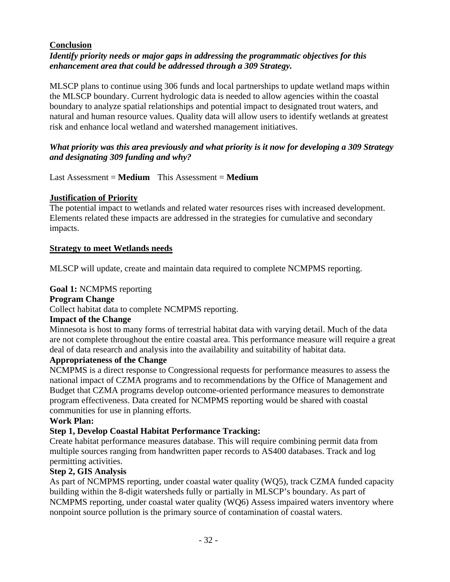#### **Conclusion**

#### *Identify priority needs or major gaps in addressing the programmatic objectives for this enhancement area that could be addressed through a 309 Strategy.*

MLSCP plans to continue using 306 funds and local partnerships to update wetland maps within the MLSCP boundary. Current hydrologic data is needed to allow agencies within the coastal boundary to analyze spatial relationships and potential impact to designated trout waters, and natural and human resource values. Quality data will allow users to identify wetlands at greatest risk and enhance local wetland and watershed management initiatives.

#### *What priority was this area previously and what priority is it now for developing a 309 Strategy and designating 309 funding and why?*

Last Assessment = **Medium** This Assessment = **Medium**

#### **Justification of Priority**

The potential impact to wetlands and related water resources rises with increased development. Elements related these impacts are addressed in the strategies for cumulative and secondary impacts.

#### **Strategy to meet Wetlands needs**

MLSCP will update, create and maintain data required to complete NCMPMS reporting.

#### **Goal 1:** NCMPMS reporting

#### **Program Change**

Collect habitat data to complete NCMPMS reporting.

#### **Impact of the Change**

Minnesota is host to many forms of terrestrial habitat data with varying detail. Much of the data are not complete throughout the entire coastal area. This performance measure will require a great deal of data research and analysis into the availability and suitability of habitat data.

#### **Appropriateness of the Change**

NCMPMS is a direct response to Congressional requests for performance measures to assess the national impact of CZMA programs and to recommendations by the Office of Management and Budget that CZMA programs develop outcome-oriented performance measures to demonstrate program effectiveness. Data created for NCMPMS reporting would be shared with coastal communities for use in planning efforts.

### **Work Plan:**

### **Step 1, Develop Coastal Habitat Performance Tracking:**

Create habitat performance measures database. This will require combining permit data from multiple sources ranging from handwritten paper records to AS400 databases. Track and log permitting activities.

### **Step 2, GIS Analysis**

As part of NCMPMS reporting, under coastal water quality (WQ5), track CZMA funded capacity building within the 8-digit watersheds fully or partially in MLSCP's boundary. As part of NCMPMS reporting, under coastal water quality (WQ6) Assess impaired waters inventory where nonpoint source pollution is the primary source of contamination of coastal waters.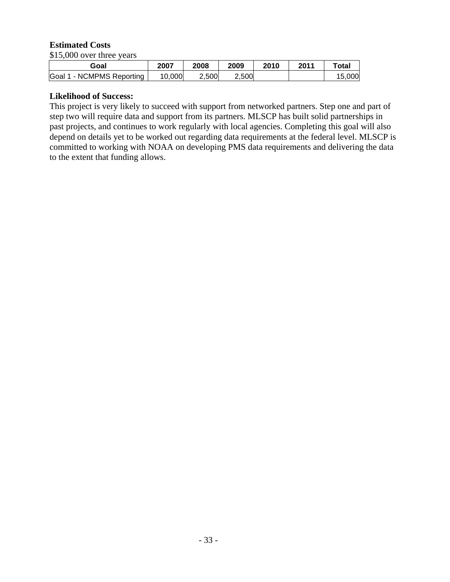#### **Estimated Costs**

\$15,000 over three years

| Goal                                                 | 2007   | 2008  | 2009  | 2010 | 2011 | ™otal |
|------------------------------------------------------|--------|-------|-------|------|------|-------|
| NCMPMS Reporting<br>Goal<br>$\overline{\phantom{a}}$ | 10,000 | 2,500 | 2.500 |      |      |       |

#### **Likelihood of Success:**

This project is very likely to succeed with support from networked partners. Step one and part of step two will require data and support from its partners. MLSCP has built solid partnerships in past projects, and continues to work regularly with local agencies. Completing this goal will also depend on details yet to be worked out regarding data requirements at the federal level. MLSCP is committed to working with NOAA on developing PMS data requirements and delivering the data to the extent that funding allows.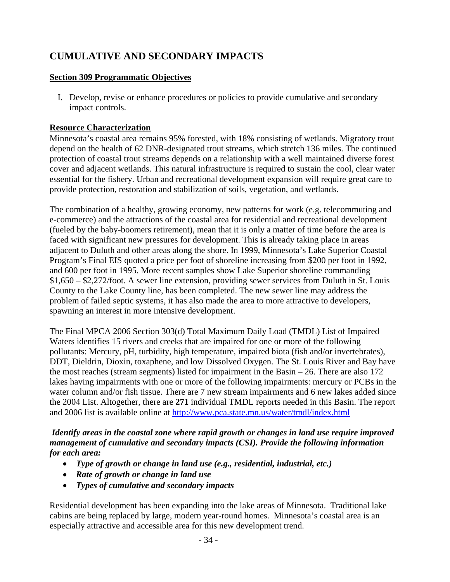# **CUMULATIVE AND SECONDARY IMPACTS**

### **Section 309 Programmatic Objectives**

I. Develop, revise or enhance procedures or policies to provide cumulative and secondary impact controls.

### **Resource Characterization**

Minnesota's coastal area remains 95% forested, with 18% consisting of wetlands. Migratory trout depend on the health of 62 DNR-designated trout streams, which stretch 136 miles. The continued protection of coastal trout streams depends on a relationship with a well maintained diverse forest cover and adjacent wetlands. This natural infrastructure is required to sustain the cool, clear water essential for the fishery. Urban and recreational development expansion will require great care to provide protection, restoration and stabilization of soils, vegetation, and wetlands.

The combination of a healthy, growing economy, new patterns for work (e.g. telecommuting and e-commerce) and the attractions of the coastal area for residential and recreational development (fueled by the baby-boomers retirement), mean that it is only a matter of time before the area is faced with significant new pressures for development. This is already taking place in areas adjacent to Duluth and other areas along the shore. In 1999, Minnesota's Lake Superior Coastal Program's Final EIS quoted a price per foot of shoreline increasing from \$200 per foot in 1992, and 600 per foot in 1995. More recent samples show Lake Superior shoreline commanding \$1,650 – \$2,272/foot. A sewer line extension, providing sewer services from Duluth in St. Louis County to the Lake County line, has been completed. The new sewer line may address the problem of failed septic systems, it has also made the area to more attractive to developers, spawning an interest in more intensive development.

The Final MPCA 2006 Section 303(d) Total Maximum Daily Load (TMDL) List of Impaired Waters identifies 15 rivers and creeks that are impaired for one or more of the following pollutants: Mercury, pH, turbidity, high temperature, impaired biota (fish and/or invertebrates), DDT, Dieldrin, Dioxin, toxaphene, and low Dissolved Oxygen. The St. Louis River and Bay have the most reaches (stream segments) listed for impairment in the Basin – 26. There are also 172 lakes having impairments with one or more of the following impairments: mercury or PCBs in the water column and/or fish tissue. There are 7 new stream impairments and 6 new lakes added since the 2004 List. Altogether, there are **271** individual TMDL reports needed in this Basin. The report and 2006 list is available online at http://www.pca.state.mn.us/water/tmdl/index.html

*Identify areas in the coastal zone where rapid growth or changes in land use require improved management of cumulative and secondary impacts (CSI). Provide the following information for each area:* 

- *Type of growth or change in land use (e.g., residential, industrial, etc.)*
- *Rate of growth or change in land use*
- *Types of cumulative and secondary impacts*

Residential development has been expanding into the lake areas of Minnesota. Traditional lake cabins are being replaced by large, modern year-round homes. Minnesota's coastal area is an especially attractive and accessible area for this new development trend.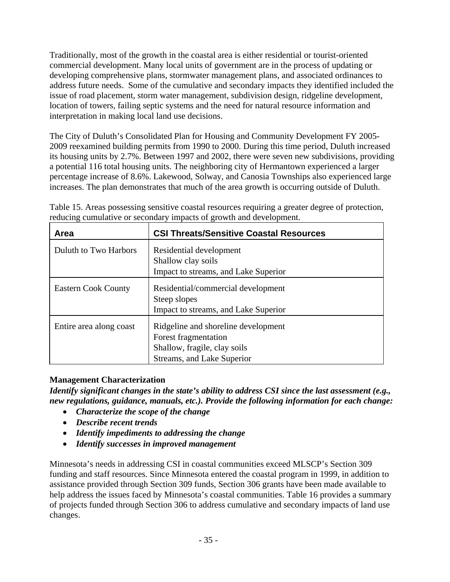Traditionally, most of the growth in the coastal area is either residential or tourist-oriented commercial development. Many local units of government are in the process of updating or developing comprehensive plans, stormwater management plans, and associated ordinances to address future needs. Some of the cumulative and secondary impacts they identified included the issue of road placement, storm water management, subdivision design, ridgeline development, location of towers, failing septic systems and the need for natural resource information and interpretation in making local land use decisions.

The City of Duluth's Consolidated Plan for Housing and Community Development FY 2005- 2009 reexamined building permits from 1990 to 2000. During this time period, Duluth increased its housing units by 2.7%. Between 1997 and 2002, there were seven new subdivisions, providing a potential 116 total housing units. The neighboring city of Hermantown experienced a larger percentage increase of 8.6%. Lakewood, Solway, and Canosia Townships also experienced large increases. The plan demonstrates that much of the area growth is occurring outside of Duluth.

| Area                       | <b>CSI Threats/Sensitive Coastal Resources</b>                                                                            |
|----------------------------|---------------------------------------------------------------------------------------------------------------------------|
| Duluth to Two Harbors      | Residential development<br>Shallow clay soils<br>Impact to streams, and Lake Superior                                     |
| <b>Eastern Cook County</b> | Residential/commercial development<br>Steep slopes<br>Impact to streams, and Lake Superior                                |
| Entire area along coast    | Ridgeline and shoreline development<br>Forest fragmentation<br>Shallow, fragile, clay soils<br>Streams, and Lake Superior |

Table 15. Areas possessing sensitive coastal resources requiring a greater degree of protection, reducing cumulative or secondary impacts of growth and development.

### **Management Characterization**

*Identify significant changes in the state's ability to address CSI since the last assessment (e.g., new regulations, guidance, manuals, etc.). Provide the following information for each change:* 

- *Characterize the scope of the change*
- *Describe recent trends*
- *Identify impediments to addressing the change*
- *Identify successes in improved management*

Minnesota's needs in addressing CSI in coastal communities exceed MLSCP's Section 309 funding and staff resources. Since Minnesota entered the coastal program in 1999, in addition to assistance provided through Section 309 funds, Section 306 grants have been made available to help address the issues faced by Minnesota's coastal communities. Table 16 provides a summary of projects funded through Section 306 to address cumulative and secondary impacts of land use changes.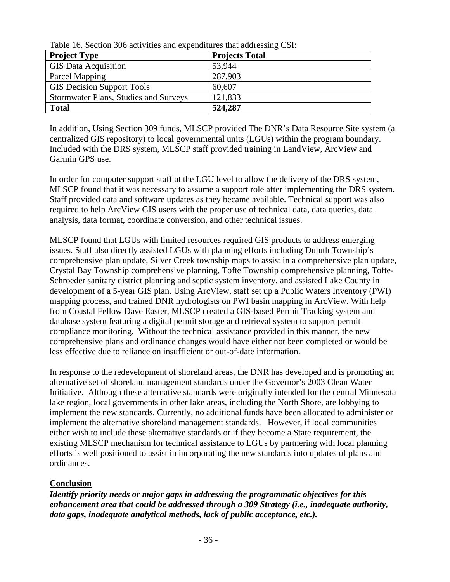| Twore To, Dectron 500 activities and expenditures that addressing CDT. |                       |
|------------------------------------------------------------------------|-----------------------|
| <b>Project Type</b>                                                    | <b>Projects Total</b> |
| <b>GIS Data Acquisition</b>                                            | 53,944                |
| <b>Parcel Mapping</b>                                                  | 287,903               |
| <b>GIS Decision Support Tools</b>                                      | 60,607                |
| Stormwater Plans, Studies and Surveys                                  | 121,833               |
| <b>Total</b>                                                           | 524,287               |

Table 16. Section 306 activities and expenditures that addressing CSI:

In addition, Using Section 309 funds, MLSCP provided The DNR's Data Resource Site system (a centralized GIS repository) to local governmental units (LGUs) within the program boundary. Included with the DRS system, MLSCP staff provided training in LandView, ArcView and Garmin GPS use.

In order for computer support staff at the LGU level to allow the delivery of the DRS system, MLSCP found that it was necessary to assume a support role after implementing the DRS system. Staff provided data and software updates as they became available. Technical support was also required to help ArcView GIS users with the proper use of technical data, data queries, data analysis, data format, coordinate conversion, and other technical issues.

MLSCP found that LGUs with limited resources required GIS products to address emerging issues. Staff also directly assisted LGUs with planning efforts including Duluth Township's comprehensive plan update, Silver Creek township maps to assist in a comprehensive plan update, Crystal Bay Township comprehensive planning, Tofte Township comprehensive planning, Tofte-Schroeder sanitary district planning and septic system inventory, and assisted Lake County in development of a 5-year GIS plan. Using ArcView, staff set up a Public Waters Inventory (PWI) mapping process, and trained DNR hydrologists on PWI basin mapping in ArcView. With help from Coastal Fellow Dave Easter, MLSCP created a GIS-based Permit Tracking system and database system featuring a digital permit storage and retrieval system to support permit compliance monitoring. Without the technical assistance provided in this manner, the new comprehensive plans and ordinance changes would have either not been completed or would be less effective due to reliance on insufficient or out-of-date information.

In response to the redevelopment of shoreland areas, the DNR has developed and is promoting an alternative set of shoreland management standards under the Governor's 2003 Clean Water Initiative. Although these alternative standards were originally intended for the central Minnesota lake region, local governments in other lake areas, including the North Shore, are lobbying to implement the new standards. Currently, no additional funds have been allocated to administer or implement the alternative shoreland management standards. However, if local communities either wish to include these alternative standards or if they become a State requirement, the existing MLSCP mechanism for technical assistance to LGUs by partnering with local planning efforts is well positioned to assist in incorporating the new standards into updates of plans and ordinances.

#### **Conclusion**

*Identify priority needs or major gaps in addressing the programmatic objectives for this enhancement area that could be addressed through a 309 Strategy (i.e., inadequate authority, data gaps, inadequate analytical methods, lack of public acceptance, etc.).*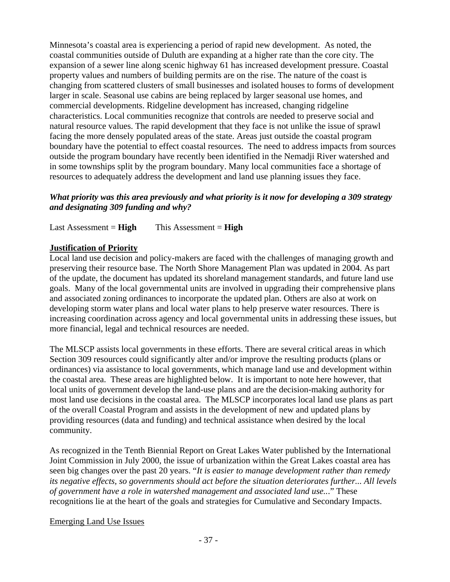Minnesota's coastal area is experiencing a period of rapid new development. As noted, the coastal communities outside of Duluth are expanding at a higher rate than the core city. The expansion of a sewer line along scenic highway 61 has increased development pressure. Coastal property values and numbers of building permits are on the rise. The nature of the coast is changing from scattered clusters of small businesses and isolated houses to forms of development larger in scale. Seasonal use cabins are being replaced by larger seasonal use homes, and commercial developments. Ridgeline development has increased, changing ridgeline characteristics. Local communities recognize that controls are needed to preserve social and natural resource values. The rapid development that they face is not unlike the issue of sprawl facing the more densely populated areas of the state. Areas just outside the coastal program boundary have the potential to effect coastal resources. The need to address impacts from sources outside the program boundary have recently been identified in the Nemadji River watershed and in some townships split by the program boundary. Many local communities face a shortage of resources to adequately address the development and land use planning issues they face.

### *What priority was this area previously and what priority is it now for developing a 309 strategy and designating 309 funding and why?*

Last Assessment = **High** This Assessment = **High**

#### **Justification of Priority**

Local land use decision and policy-makers are faced with the challenges of managing growth and preserving their resource base. The North Shore Management Plan was updated in 2004. As part of the update, the document has updated its shoreland management standards, and future land use goals. Many of the local governmental units are involved in upgrading their comprehensive plans and associated zoning ordinances to incorporate the updated plan. Others are also at work on developing storm water plans and local water plans to help preserve water resources. There is increasing coordination across agency and local governmental units in addressing these issues, but more financial, legal and technical resources are needed.

The MLSCP assists local governments in these efforts. There are several critical areas in which Section 309 resources could significantly alter and/or improve the resulting products (plans or ordinances) via assistance to local governments, which manage land use and development within the coastal area. These areas are highlighted below. It is important to note here however, that local units of government develop the land-use plans and are the decision-making authority for most land use decisions in the coastal area. The MLSCP incorporates local land use plans as part of the overall Coastal Program and assists in the development of new and updated plans by providing resources (data and funding) and technical assistance when desired by the local community.

As recognized in the Tenth Biennial Report on Great Lakes Water published by the International Joint Commission in July 2000, the issue of urbanization within the Great Lakes coastal area has seen big changes over the past 20 years. "*It is easier to manage development rather than remedy its negative effects, so governments should act before the situation deteriorates further... All levels of government have a role in watershed management and associated land use..*." These recognitions lie at the heart of the goals and strategies for Cumulative and Secondary Impacts.

#### Emerging Land Use Issues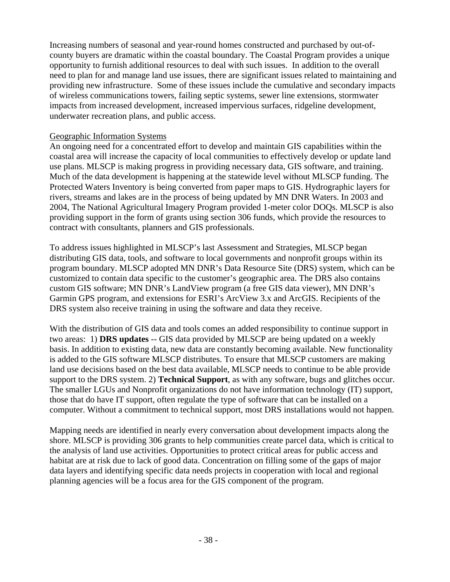Increasing numbers of seasonal and year-round homes constructed and purchased by out-ofcounty buyers are dramatic within the coastal boundary. The Coastal Program provides a unique opportunity to furnish additional resources to deal with such issues. In addition to the overall need to plan for and manage land use issues, there are significant issues related to maintaining and providing new infrastructure. Some of these issues include the cumulative and secondary impacts of wireless communications towers, failing septic systems, sewer line extensions, stormwater impacts from increased development, increased impervious surfaces, ridgeline development, underwater recreation plans, and public access.

#### Geographic Information Systems

An ongoing need for a concentrated effort to develop and maintain GIS capabilities within the coastal area will increase the capacity of local communities to effectively develop or update land use plans. MLSCP is making progress in providing necessary data, GIS software, and training. Much of the data development is happening at the statewide level without MLSCP funding. The Protected Waters Inventory is being converted from paper maps to GIS. Hydrographic layers for rivers, streams and lakes are in the process of being updated by MN DNR Waters. In 2003 and 2004, The National Agricultural Imagery Program provided 1-meter color DOQs. MLSCP is also providing support in the form of grants using section 306 funds, which provide the resources to contract with consultants, planners and GIS professionals.

To address issues highlighted in MLSCP's last Assessment and Strategies, MLSCP began distributing GIS data, tools, and software to local governments and nonprofit groups within its program boundary. MLSCP adopted MN DNR's Data Resource Site (DRS) system, which can be customized to contain data specific to the customer's geographic area. The DRS also contains custom GIS software; MN DNR's LandView program (a free GIS data viewer), MN DNR's Garmin GPS program, and extensions for ESRI's ArcView 3.x and ArcGIS. Recipients of the DRS system also receive training in using the software and data they receive.

With the distribution of GIS data and tools comes an added responsibility to continue support in two areas: 1) **DRS updates** -- GIS data provided by MLSCP are being updated on a weekly basis. In addition to existing data, new data are constantly becoming available. New functionality is added to the GIS software MLSCP distributes. To ensure that MLSCP customers are making land use decisions based on the best data available, MLSCP needs to continue to be able provide support to the DRS system. 2) **Technical Support**, as with any software, bugs and glitches occur. The smaller LGUs and Nonprofit organizations do not have information technology (IT) support, those that do have IT support, often regulate the type of software that can be installed on a computer. Without a commitment to technical support, most DRS installations would not happen.

Mapping needs are identified in nearly every conversation about development impacts along the shore. MLSCP is providing 306 grants to help communities create parcel data, which is critical to the analysis of land use activities. Opportunities to protect critical areas for public access and habitat are at risk due to lack of good data. Concentration on filling some of the gaps of major data layers and identifying specific data needs projects in cooperation with local and regional planning agencies will be a focus area for the GIS component of the program.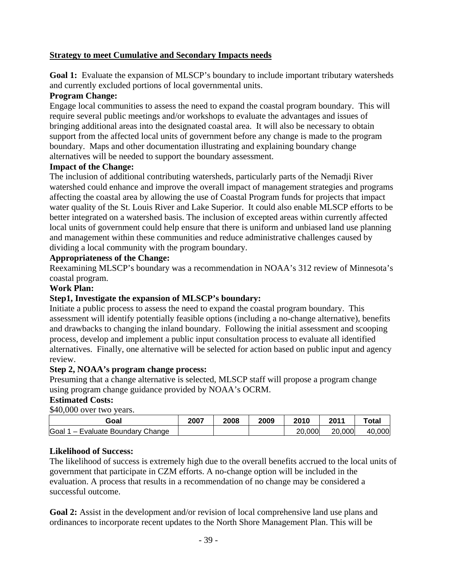#### **Strategy to meet Cumulative and Secondary Impacts needs**

**Goal 1:** Evaluate the expansion of MLSCP's boundary to include important tributary watersheds and currently excluded portions of local governmental units.

#### **Program Change:**

Engage local communities to assess the need to expand the coastal program boundary. This will require several public meetings and/or workshops to evaluate the advantages and issues of bringing additional areas into the designated coastal area. It will also be necessary to obtain support from the affected local units of government before any change is made to the program boundary. Maps and other documentation illustrating and explaining boundary change alternatives will be needed to support the boundary assessment.

#### **Impact of the Change:**

The inclusion of additional contributing watersheds, particularly parts of the Nemadji River watershed could enhance and improve the overall impact of management strategies and programs affecting the coastal area by allowing the use of Coastal Program funds for projects that impact water quality of the St. Louis River and Lake Superior. It could also enable MLSCP efforts to be better integrated on a watershed basis. The inclusion of excepted areas within currently affected local units of government could help ensure that there is uniform and unbiased land use planning and management within these communities and reduce administrative challenges caused by dividing a local community with the program boundary.

#### **Appropriateness of the Change:**

Reexamining MLSCP's boundary was a recommendation in NOAA's 312 review of Minnesota's coastal program.

#### **Work Plan:**

#### **Step1, Investigate the expansion of MLSCP's boundary:**

Initiate a public process to assess the need to expand the coastal program boundary. This assessment will identify potentially feasible options (including a no-change alternative), benefits and drawbacks to changing the inland boundary. Following the initial assessment and scooping process, develop and implement a public input consultation process to evaluate all identified alternatives. Finally, one alternative will be selected for action based on public input and agency review.

#### **Step 2, NOAA's program change process:**

Presuming that a change alternative is selected, MLSCP staff will propose a program change using program change guidance provided by NOAA's OCRM.

#### **Estimated Costs:**

\$40,000 over two years.

| Goal                                  | 2007 | 2008 | 2009 | 2010   | 2011        | Total      |
|---------------------------------------|------|------|------|--------|-------------|------------|
| Goal<br>Change<br>Evaluate Boundary C |      |      |      | 20,000 | ,000<br>20. | 000<br>40. |

#### **Likelihood of Success:**

The likelihood of success is extremely high due to the overall benefits accrued to the local units of government that participate in CZM efforts. A no-change option will be included in the evaluation. A process that results in a recommendation of no change may be considered a successful outcome.

**Goal 2:** Assist in the development and/or revision of local comprehensive land use plans and ordinances to incorporate recent updates to the North Shore Management Plan. This will be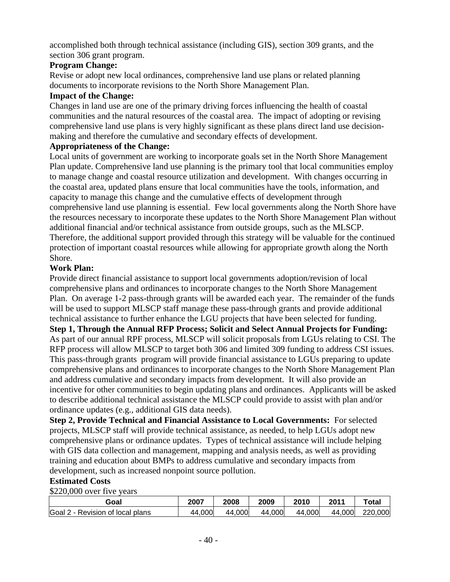accomplished both through technical assistance (including GIS), section 309 grants, and the section 306 grant program.

#### **Program Change:**

Revise or adopt new local ordinances, comprehensive land use plans or related planning documents to incorporate revisions to the North Shore Management Plan.

#### **Impact of the Change:**

Changes in land use are one of the primary driving forces influencing the health of coastal communities and the natural resources of the coastal area. The impact of adopting or revising comprehensive land use plans is very highly significant as these plans direct land use decisionmaking and therefore the cumulative and secondary effects of development.

#### **Appropriateness of the Change:**

Local units of government are working to incorporate goals set in the North Shore Management Plan update. Comprehensive land use planning is the primary tool that local communities employ to manage change and coastal resource utilization and development. With changes occurring in the coastal area, updated plans ensure that local communities have the tools, information, and capacity to manage this change and the cumulative effects of development through comprehensive land use planning is essential. Few local governments along the North Shore have the resources necessary to incorporate these updates to the North Shore Management Plan without additional financial and/or technical assistance from outside groups, such as the MLSCP. Therefore, the additional support provided through this strategy will be valuable for the continued protection of important coastal resources while allowing for appropriate growth along the North Shore.

### **Work Plan:**

Provide direct financial assistance to support local governments adoption/revision of local comprehensive plans and ordinances to incorporate changes to the North Shore Management Plan. On average 1-2 pass-through grants will be awarded each year. The remainder of the funds will be used to support MLSCP staff manage these pass-through grants and provide additional technical assistance to further enhance the LGU projects that have been selected for funding. **Step 1, Through the Annual RFP Process; Solicit and Select Annual Projects for Funding:**  As part of our annual RPF process, MLSCP will solicit proposals from LGUs relating to CSI. The RFP process will allow MLSCP to target both 306 and limited 309 funding to address CSI issues. This pass-through grants program will provide financial assistance to LGUs preparing to update comprehensive plans and ordinances to incorporate changes to the North Shore Management Plan and address cumulative and secondary impacts from development. It will also provide an incentive for other communities to begin updating plans and ordinances. Applicants will be asked to describe additional technical assistance the MLSCP could provide to assist with plan and/or ordinance updates (e.g., additional GIS data needs).

**Step 2, Provide Technical and Financial Assistance to Local Governments:** For selected projects, MLSCP staff will provide technical assistance, as needed, to help LGUs adopt new comprehensive plans or ordinance updates. Types of technical assistance will include helping with GIS data collection and management, mapping and analysis needs, as well as providing training and education about BMPs to address cumulative and secondary impacts from development, such as increased nonpoint source pollution.

### **Estimated Costs**

\$220,000 over five years

| Goal                                     | 2007   | 2008   | 2009   | 2010   | 2011   | Total   |
|------------------------------------------|--------|--------|--------|--------|--------|---------|
| Goal 2<br>e - Revision of local plans. ' | 44,000 | 44,000 | 44,000 | 44,000 | 44,000 | 220,000 |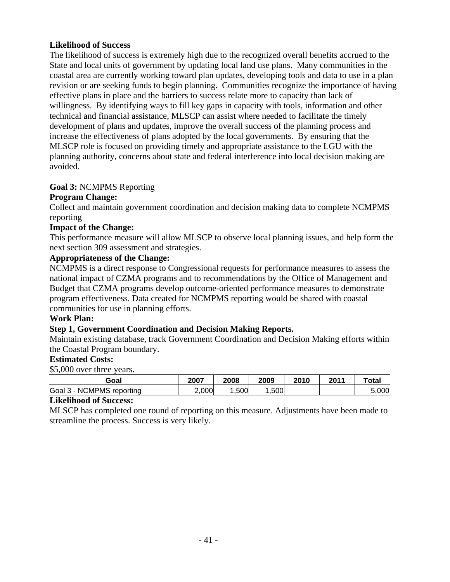#### **Likelihood of Success**

The likelihood of success is extremely high due to the recognized overall benefits accrued to the State and local units of government by updating local land use plans. Many communities in the coastal area are currently working toward plan updates, developing tools and data to use in a plan revision or are seeking funds to begin planning. Communities recognize the importance of having effective plans in place and the barriers to success relate more to capacity than lack of willingness. By identifying ways to fill key gaps in capacity with tools, information and other technical and financial assistance, MLSCP can assist where needed to facilitate the timely development of plans and updates, improve the overall success of the planning process and increase the effectiveness of plans adopted by the local governments. By ensuring that the MLSCP role is focused on providing timely and appropriate assistance to the LGU with the planning authority, concerns about state and federal interference into local decision making are avoided.

#### **Goal 3:** NCMPMS Reporting

#### **Program Change:**

Collect and maintain government coordination and decision making data to complete NCMPMS reporting

#### **Impact of the Change:**

This performance measure will allow MLSCP to observe local planning issues, and help form the next section 309 assessment and strategies.

#### **Appropriateness of the Change:**

NCMPMS is a direct response to Congressional requests for performance measures to assess the national impact of CZMA programs and to recommendations by the Office of Management and Budget that CZMA programs develop outcome-oriented performance measures to demonstrate program effectiveness. Data created for NCMPMS reporting would be shared with coastal communities for use in planning efforts.

#### **Work Plan:**

### **Step 1, Government Coordination and Decision Making Reports.**

Maintain existing database, track Government Coordination and Decision Making efforts within the Coastal Program boundary.

### **Estimated Costs:**

\$5,000 over three years.

| Goal                                      | 2007  | 2008 | 2009 | 2010 | 2011 | $\tau$ otal |
|-------------------------------------------|-------|------|------|------|------|-------------|
| Goal<br>CMPMS<br>-NC<br>reporting<br>ు చా | 2,000 | ,500 | ,500 |      |      | 5.000       |

#### **Likelihood of Success:**

MLSCP has completed one round of reporting on this measure. Adjustments have been made to streamline the process. Success is very likely.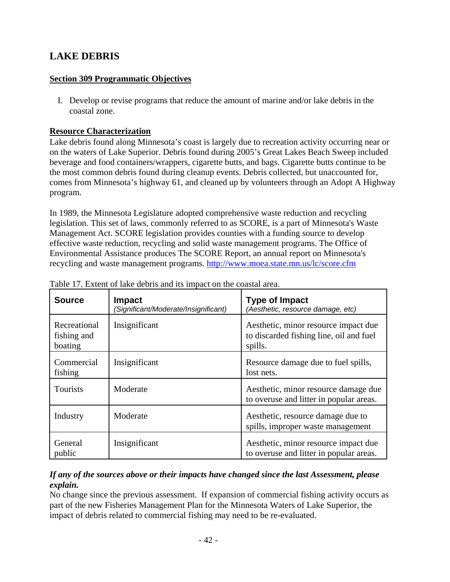# **LAKE DEBRIS**

### **Section 309 Programmatic Objectives**

I. Develop or revise programs that reduce the amount of marine and/or lake debris in the coastal zone.

### **Resource Characterization**

Lake debris found along Minnesota's coast is largely due to recreation activity occurring near or on the waters of Lake Superior. Debris found during 2005's Great Lakes Beach Sweep included beverage and food containers/wrappers, cigarette butts, and bags. Cigarette butts continue to be the most common debris found during cleanup events. Debris collected, but unaccounted for, comes from Minnesota's highway 61, and cleaned up by volunteers through an Adopt A Highway program.

In 1989, the Minnesota Legislature adopted comprehensive waste reduction and recycling legislation. This set of laws, commonly referred to as SCORE, is a part of Minnesota's Waste Management Act. SCORE legislation provides counties with a funding source to develop effective waste reduction, recycling and solid waste management programs. The Office of Environmental Assistance produces The SCORE Report, an annual report on Minnesota's recycling and waste management programs. http://www.moea.state.mn.us/lc/score.cfm

| <b>Source</b>                          | <b>Impact</b><br>(Significant/Moderate/Insignificant) | <b>Type of Impact</b><br>(Aesthetic, resource damage, etc)                                 |
|----------------------------------------|-------------------------------------------------------|--------------------------------------------------------------------------------------------|
| Recreational<br>fishing and<br>boating | Insignificant                                         | Aesthetic, minor resource impact due<br>to discarded fishing line, oil and fuel<br>spills. |
| Commercial<br>fishing                  | Insignificant                                         | Resource damage due to fuel spills,<br>lost nets.                                          |
| Tourists                               | Moderate                                              | Aesthetic, minor resource damage due<br>to overuse and litter in popular areas.            |
| Industry                               | Moderate                                              | Aesthetic, resource damage due to<br>spills, improper waste management                     |
| General<br>public                      | Insignificant                                         | Aesthetic, minor resource impact due<br>to overuse and litter in popular areas.            |

Table 17. Extent of lake debris and its impact on the coastal area.

### *If any of the sources above or their impacts have changed since the last Assessment, please explain.*

No change since the previous assessment. If expansion of commercial fishing activity occurs as part of the new Fisheries Management Plan for the Minnesota Waters of Lake Superior, the impact of debris related to commercial fishing may need to be re-evaluated.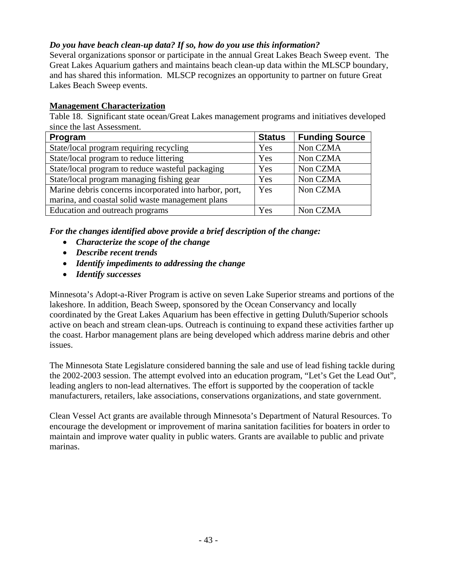### *Do you have beach clean-up data? If so, how do you use this information?*

Several organizations sponsor or participate in the annual Great Lakes Beach Sweep event. The Great Lakes Aquarium gathers and maintains beach clean-up data within the MLSCP boundary, and has shared this information. MLSCP recognizes an opportunity to partner on future Great Lakes Beach Sweep events.

### **Management Characterization**

Table 18. Significant state ocean/Great Lakes management programs and initiatives developed since the last Assessment.

| Program                                                | <b>Status</b> | <b>Funding Source</b> |
|--------------------------------------------------------|---------------|-----------------------|
| State/local program requiring recycling                | Yes           | Non CZMA              |
| State/local program to reduce littering                | Yes           | Non CZMA              |
| State/local program to reduce wasteful packaging       | Yes           | Non CZMA              |
| State/local program managing fishing gear              | Yes           | Non CZMA              |
| Marine debris concerns incorporated into harbor, port, | Yes           | Non CZMA              |
| marina, and coastal solid waste management plans       |               |                       |
| Education and outreach programs                        | Yes           | Non CZMA              |

*For the changes identified above provide a brief description of the change:* 

- *Characterize the scope of the change*
- *Describe recent trends*
- *Identify impediments to addressing the change*
- *Identify successes*

Minnesota's Adopt-a-River Program is active on seven Lake Superior streams and portions of the lakeshore. In addition, Beach Sweep, sponsored by the Ocean Conservancy and locally coordinated by the Great Lakes Aquarium has been effective in getting Duluth/Superior schools active on beach and stream clean-ups. Outreach is continuing to expand these activities farther up the coast. Harbor management plans are being developed which address marine debris and other issues.

The Minnesota State Legislature considered banning the sale and use of lead fishing tackle during the 2002-2003 session. The attempt evolved into an education program, "Let's Get the Lead Out", leading anglers to non-lead alternatives. The effort is supported by the cooperation of tackle manufacturers, retailers, lake associations, conservations organizations, and state government.

Clean Vessel Act grants are available through Minnesota's Department of Natural Resources. To encourage the development or improvement of marina sanitation facilities for boaters in order to maintain and improve water quality in public waters. Grants are available to public and private marinas.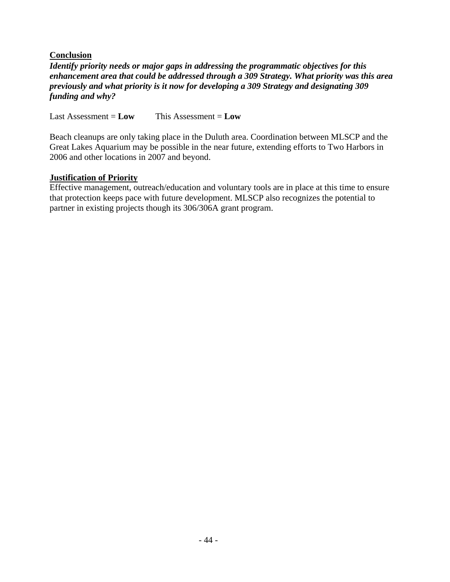#### **Conclusion**

*Identify priority needs or major gaps in addressing the programmatic objectives for this enhancement area that could be addressed through a 309 Strategy. What priority was this area previously and what priority is it now for developing a 309 Strategy and designating 309 funding and why?*

Last Assessment = **Low** This Assessment = **Low**

Beach cleanups are only taking place in the Duluth area. Coordination between MLSCP and the Great Lakes Aquarium may be possible in the near future, extending efforts to Two Harbors in 2006 and other locations in 2007 and beyond.

#### **Justification of Priority**

Effective management, outreach/education and voluntary tools are in place at this time to ensure that protection keeps pace with future development. MLSCP also recognizes the potential to partner in existing projects though its 306/306A grant program.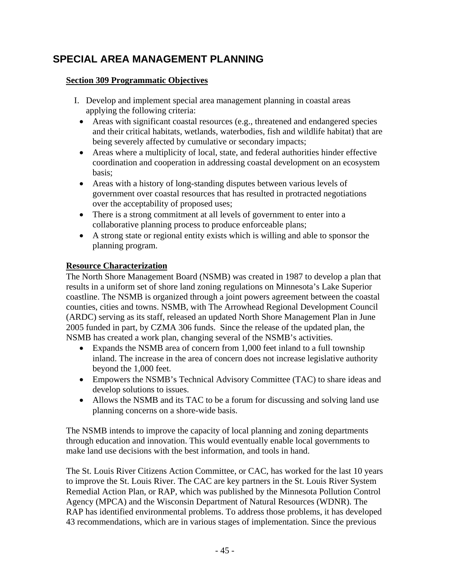# **SPECIAL AREA MANAGEMENT PLANNING**

### **Section 309 Programmatic Objectives**

- I. Develop and implement special area management planning in coastal areas applying the following criteria:
	- Areas with significant coastal resources (e.g., threatened and endangered species and their critical habitats, wetlands, waterbodies, fish and wildlife habitat) that are being severely affected by cumulative or secondary impacts;
	- Areas where a multiplicity of local, state, and federal authorities hinder effective coordination and cooperation in addressing coastal development on an ecosystem basis;
	- Areas with a history of long-standing disputes between various levels of government over coastal resources that has resulted in protracted negotiations over the acceptability of proposed uses;
	- There is a strong commitment at all levels of government to enter into a collaborative planning process to produce enforceable plans;
	- A strong state or regional entity exists which is willing and able to sponsor the planning program.

#### **Resource Characterization**

The North Shore Management Board (NSMB) was created in 1987 to develop a plan that results in a uniform set of shore land zoning regulations on Minnesota's Lake Superior coastline. The NSMB is organized through a joint powers agreement between the coastal counties, cities and towns. NSMB, with The Arrowhead Regional Development Council (ARDC) serving as its staff, released an updated North Shore Management Plan in June 2005 funded in part, by CZMA 306 funds. Since the release of the updated plan, the NSMB has created a work plan, changing several of the NSMB's activities.

- Expands the NSMB area of concern from 1,000 feet inland to a full township inland. The increase in the area of concern does not increase legislative authority beyond the 1,000 feet.
- Empowers the NSMB's Technical Advisory Committee (TAC) to share ideas and develop solutions to issues.
- Allows the NSMB and its TAC to be a forum for discussing and solving land use planning concerns on a shore-wide basis.

The NSMB intends to improve the capacity of local planning and zoning departments through education and innovation. This would eventually enable local governments to make land use decisions with the best information, and tools in hand.

The St. Louis River Citizens Action Committee, or CAC, has worked for the last 10 years to improve the St. Louis River. The CAC are key partners in the St. Louis River System Remedial Action Plan, or RAP, which was published by the Minnesota Pollution Control Agency (MPCA) and the Wisconsin Department of Natural Resources (WDNR). The RAP has identified environmental problems. To address those problems, it has developed 43 recommendations, which are in various stages of implementation. Since the previous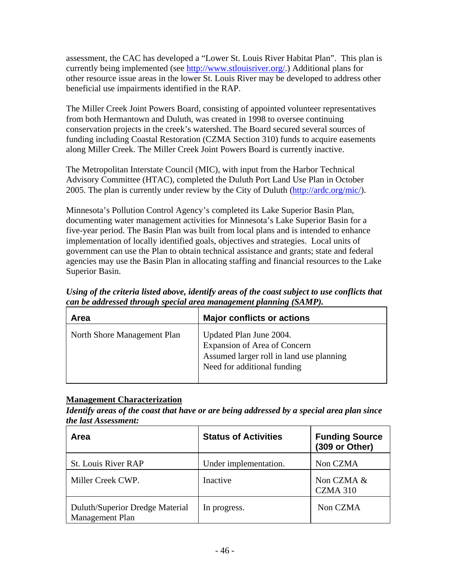assessment, the CAC has developed a "Lower St. Louis River Habitat Plan". This plan is currently being implemented (see http://www.stlouisriver.org/.) Additional plans for other resource issue areas in the lower St. Louis River may be developed to address other beneficial use impairments identified in the RAP.

The Miller Creek Joint Powers Board, consisting of appointed volunteer representatives from both Hermantown and Duluth, was created in 1998 to oversee continuing conservation projects in the creek's watershed. The Board secured several sources of funding including Coastal Restoration (CZMA Section 310) funds to acquire easements along Miller Creek. The Miller Creek Joint Powers Board is currently inactive.

The Metropolitan Interstate Council (MIC), with input from the Harbor Technical Advisory Committee (HTAC), completed the Duluth Port Land Use Plan in October 2005. The plan is currently under review by the City of Duluth (http://ardc.org/mic/).

Minnesota's Pollution Control Agency's completed its Lake Superior Basin Plan, documenting water management activities for Minnesota's Lake Superior Basin for a five-year period. The Basin Plan was built from local plans and is intended to enhance implementation of locally identified goals, objectives and strategies. Local units of government can use the Plan to obtain technical assistance and grants; state and federal agencies may use the Basin Plan in allocating staffing and financial resources to the Lake Superior Basin.

*Using of the criteria listed above, identify areas of the coast subject to use conflicts that can be addressed through special area management planning (SAMP).* 

| Area                        | <b>Major conflicts or actions</b>                                                                                                  |
|-----------------------------|------------------------------------------------------------------------------------------------------------------------------------|
| North Shore Management Plan | Updated Plan June 2004.<br>Expansion of Area of Concern<br>Assumed larger roll in land use planning<br>Need for additional funding |

#### **Management Characterization**

*Identify areas of the coast that have or are being addressed by a special area plan since the last Assessment:*

| Area                                               | <b>Status of Activities</b> | <b>Funding Source</b><br>(309 or Other) |
|----------------------------------------------------|-----------------------------|-----------------------------------------|
| <b>St. Louis River RAP</b>                         | Under implementation.       | Non CZMA                                |
| Miller Creek CWP.                                  | Inactive                    | Non CZMA &<br><b>CZMA 310</b>           |
| Duluth/Superior Dredge Material<br>Management Plan | In progress.                | Non CZMA                                |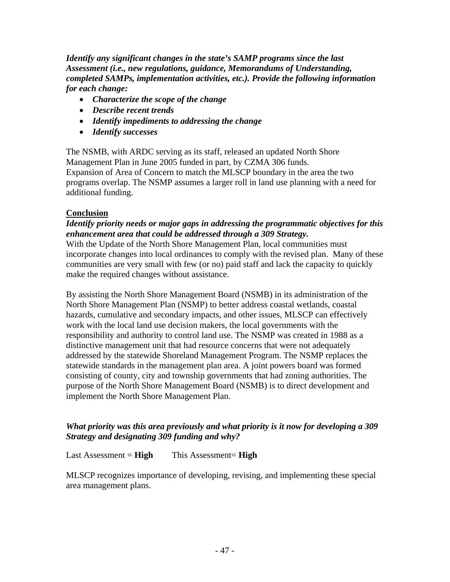*Identify any significant changes in the state's SAMP programs since the last Assessment (i.e., new regulations, guidance, Memorandums of Understanding, completed SAMPs, implementation activities, etc.). Provide the following information for each change:* 

- *Characterize the scope of the change*
- *Describe recent trends*
- *Identify impediments to addressing the change*
- *Identify successes*

The NSMB, with ARDC serving as its staff, released an updated North Shore Management Plan in June 2005 funded in part, by CZMA 306 funds. Expansion of Area of Concern to match the MLSCP boundary in the area the two programs overlap. The NSMP assumes a larger roll in land use planning with a need for additional funding.

#### **Conclusion**

#### *Identify priority needs or major gaps in addressing the programmatic objectives for this enhancement area that could be addressed through a 309 Strategy.*

With the Update of the North Shore Management Plan, local communities must incorporate changes into local ordinances to comply with the revised plan. Many of these communities are very small with few (or no) paid staff and lack the capacity to quickly make the required changes without assistance.

By assisting the North Shore Management Board (NSMB) in its administration of the North Shore Management Plan (NSMP) to better address coastal wetlands, coastal hazards, cumulative and secondary impacts, and other issues, MLSCP can effectively work with the local land use decision makers, the local governments with the responsibility and authority to control land use. The NSMP was created in 1988 as a distinctive management unit that had resource concerns that were not adequately addressed by the statewide Shoreland Management Program. The NSMP replaces the statewide standards in the management plan area. A joint powers board was formed consisting of county, city and township governments that had zoning authorities. The purpose of the North Shore Management Board (NSMB) is to direct development and implement the North Shore Management Plan.

#### *What priority was this area previously and what priority is it now for developing a 309 Strategy and designating 309 funding and why?*

Last Assessment = **High** This Assessment= **High**

MLSCP recognizes importance of developing, revising, and implementing these special area management plans.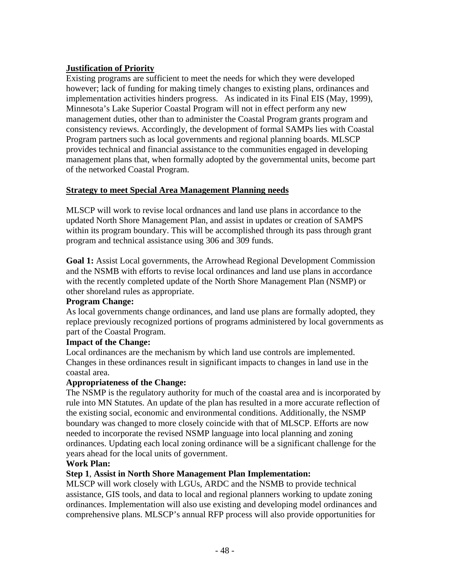### **Justification of Priority**

Existing programs are sufficient to meet the needs for which they were developed however; lack of funding for making timely changes to existing plans, ordinances and implementation activities hinders progress. As indicated in its Final EIS (May, 1999), Minnesota's Lake Superior Coastal Program will not in effect perform any new management duties, other than to administer the Coastal Program grants program and consistency reviews. Accordingly, the development of formal SAMPs lies with Coastal Program partners such as local governments and regional planning boards. MLSCP provides technical and financial assistance to the communities engaged in developing management plans that, when formally adopted by the governmental units, become part of the networked Coastal Program.

### **Strategy to meet Special Area Management Planning needs**

MLSCP will work to revise local ordnances and land use plans in accordance to the updated North Shore Management Plan, and assist in updates or creation of SAMPS within its program boundary. This will be accomplished through its pass through grant program and technical assistance using 306 and 309 funds.

**Goal 1:** Assist Local governments, the Arrowhead Regional Development Commission and the NSMB with efforts to revise local ordinances and land use plans in accordance with the recently completed update of the North Shore Management Plan (NSMP) or other shoreland rules as appropriate.

#### **Program Change:**

As local governments change ordinances, and land use plans are formally adopted, they replace previously recognized portions of programs administered by local governments as part of the Coastal Program.

#### **Impact of the Change:**

Local ordinances are the mechanism by which land use controls are implemented. Changes in these ordinances result in significant impacts to changes in land use in the coastal area.

#### **Appropriateness of the Change:**

The NSMP is the regulatory authority for much of the coastal area and is incorporated by rule into MN Statutes. An update of the plan has resulted in a more accurate reflection of the existing social, economic and environmental conditions. Additionally, the NSMP boundary was changed to more closely coincide with that of MLSCP. Efforts are now needed to incorporate the revised NSMP language into local planning and zoning ordinances. Updating each local zoning ordinance will be a significant challenge for the years ahead for the local units of government.

#### **Work Plan:**

### **Step 1**, **Assist in North Shore Management Plan Implementation:**

MLSCP will work closely with LGUs, ARDC and the NSMB to provide technical assistance, GIS tools, and data to local and regional planners working to update zoning ordinances. Implementation will also use existing and developing model ordinances and comprehensive plans. MLSCP's annual RFP process will also provide opportunities for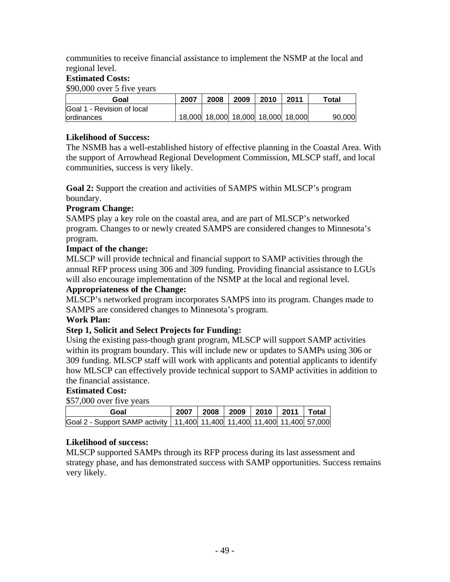communities to receive financial assistance to implement the NSMP at the local and regional level.

### **Estimated Costs:**

\$90,000 over 5 five years

| Goal                              | 2007 | 2008 | 2009 | 2010                               | 2011 | ™otal  |
|-----------------------------------|------|------|------|------------------------------------|------|--------|
| <b>Goal 1 - Revision of local</b> |      |      |      |                                    |      |        |
| <b>lordinances</b>                |      |      |      | 18,000 18,000 18,000 18,000 18,000 |      | 90,000 |

#### **Likelihood of Success:**

The NSMB has a well-established history of effective planning in the Coastal Area. With the support of Arrowhead Regional Development Commission, MLSCP staff, and local communities, success is very likely.

**Goal 2:** Support the creation and activities of SAMPS within MLSCP's program boundary.

### **Program Change:**

SAMPS play a key role on the coastal area, and are part of MLSCP's networked program. Changes to or newly created SAMPS are considered changes to Minnesota's program.

#### **Impact of the change:**

MLSCP will provide technical and financial support to SAMP activities through the annual RFP process using 306 and 309 funding. Providing financial assistance to LGUs will also encourage implementation of the NSMP at the local and regional level.

#### **Appropriateness of the Change:**

MLSCP's networked program incorporates SAMPS into its program. Changes made to SAMPS are considered changes to Minnesota's program.

#### **Work Plan:**

#### **Step 1, Solicit and Select Projects for Funding:**

Using the existing pass-though grant program, MLSCP will support SAMP activities within its program boundary. This will include new or updates to SAMPs using 306 or 309 funding. MLSCP staff will work with applicants and potential applicants to identify how MLSCP can effectively provide technical support to SAMP activities in addition to the financial assistance.

#### **Estimated Cost:**

\$57,000 over five years

| Goal                                                                                 | 2007 |  | 2008   2009   2010   2011   Total |  |
|--------------------------------------------------------------------------------------|------|--|-----------------------------------|--|
| Goal 2 - Support SAMP activity   11,400   11,400   11,400   11,400   11,400   57,000 |      |  |                                   |  |

#### **Likelihood of success:**

MLSCP supported SAMPs through its RFP process during its last assessment and strategy phase, and has demonstrated success with SAMP opportunities. Success remains very likely.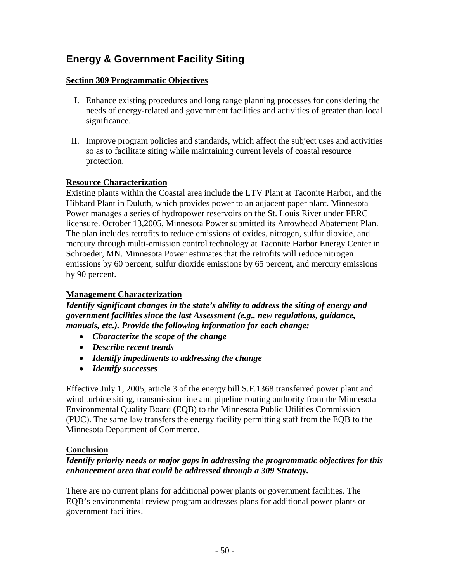# **Energy & Government Facility Siting**

#### **Section 309 Programmatic Objectives**

- I. Enhance existing procedures and long range planning processes for considering the needs of energy-related and government facilities and activities of greater than local significance.
- II. Improve program policies and standards, which affect the subject uses and activities so as to facilitate siting while maintaining current levels of coastal resource protection.

#### **Resource Characterization**

Existing plants within the Coastal area include the LTV Plant at Taconite Harbor, and the Hibbard Plant in Duluth, which provides power to an adjacent paper plant. Minnesota Power manages a series of hydropower reservoirs on the St. Louis River under FERC licensure. October 13,2005, Minnesota Power submitted its Arrowhead Abatement Plan. The plan includes retrofits to reduce emissions of oxides, nitrogen, sulfur dioxide, and mercury through multi-emission control technology at Taconite Harbor Energy Center in Schroeder, MN. Minnesota Power estimates that the retrofits will reduce nitrogen emissions by 60 percent, sulfur dioxide emissions by 65 percent, and mercury emissions by 90 percent.

### **Management Characterization**

*Identify significant changes in the state's ability to address the siting of energy and government facilities since the last Assessment (e.g., new regulations, guidance, manuals, etc.). Provide the following information for each change:* 

- *Characterize the scope of the change*
- *Describe recent trends*
- *Identify impediments to addressing the change*
- *Identify successes*

Effective July 1, 2005, article 3 of the energy bill S.F.1368 transferred power plant and wind turbine siting, transmission line and pipeline routing authority from the Minnesota Environmental Quality Board (EQB) to the Minnesota Public Utilities Commission (PUC). The same law transfers the energy facility permitting staff from the EQB to the Minnesota Department of Commerce.

### **Conclusion**

#### *Identify priority needs or major gaps in addressing the programmatic objectives for this enhancement area that could be addressed through a 309 Strategy.*

There are no current plans for additional power plants or government facilities. The EQB's environmental review program addresses plans for additional power plants or government facilities.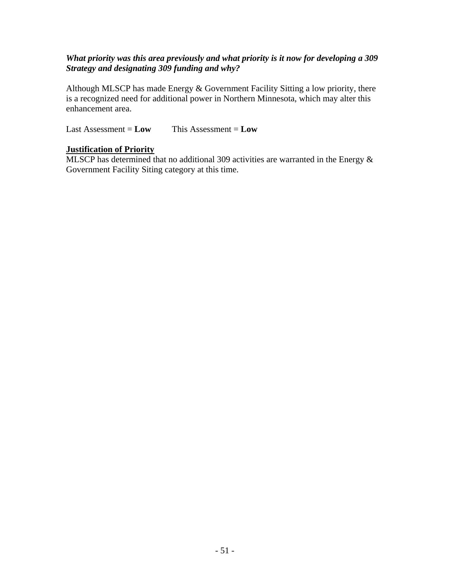#### *What priority was this area previously and what priority is it now for developing a 309 Strategy and designating 309 funding and why?*

Although MLSCP has made Energy & Government Facility Sitting a low priority, there is a recognized need for additional power in Northern Minnesota, which may alter this enhancement area.

Last Assessment = **Low** This Assessment = **Low**

#### **Justification of Priority**

MLSCP has determined that no additional 309 activities are warranted in the Energy & Government Facility Siting category at this time.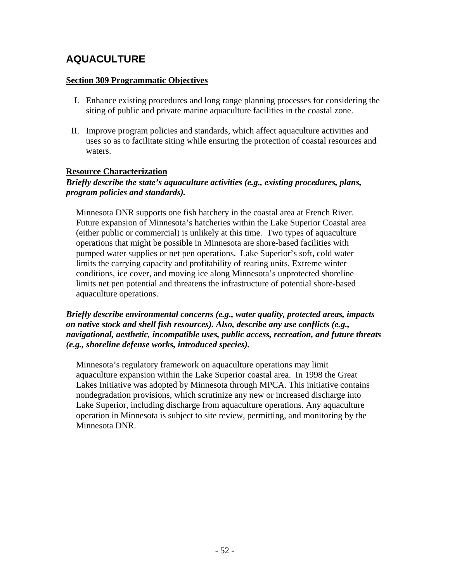# **AQUACULTURE**

#### **Section 309 Programmatic Objectives**

- I. Enhance existing procedures and long range planning processes for considering the siting of public and private marine aquaculture facilities in the coastal zone.
- II. Improve program policies and standards, which affect aquaculture activities and uses so as to facilitate siting while ensuring the protection of coastal resources and waters.

#### **Resource Characterization**

#### *Briefly describe the state's aquaculture activities (e.g., existing procedures, plans, program policies and standards).*

Minnesota DNR supports one fish hatchery in the coastal area at French River. Future expansion of Minnesota's hatcheries within the Lake Superior Coastal area (either public or commercial) is unlikely at this time. Two types of aquaculture operations that might be possible in Minnesota are shore-based facilities with pumped water supplies or net pen operations. Lake Superior's soft, cold water limits the carrying capacity and profitability of rearing units. Extreme winter conditions, ice cover, and moving ice along Minnesota's unprotected shoreline limits net pen potential and threatens the infrastructure of potential shore-based aquaculture operations.

*Briefly describe environmental concerns (e.g., water quality, protected areas, impacts on native stock and shell fish resources). Also, describe any use conflicts (e.g., navigational, aesthetic, incompatible uses, public access, recreation, and future threats (e.g., shoreline defense works, introduced species).* 

Minnesota's regulatory framework on aquaculture operations may limit aquaculture expansion within the Lake Superior coastal area. In 1998 the Great Lakes Initiative was adopted by Minnesota through MPCA. This initiative contains nondegradation provisions, which scrutinize any new or increased discharge into Lake Superior, including discharge from aquaculture operations. Any aquaculture operation in Minnesota is subject to site review, permitting, and monitoring by the Minnesota DNR.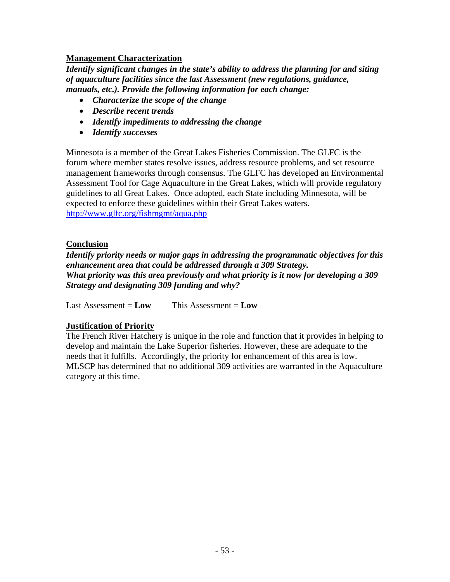#### **Management Characterization**

*Identify significant changes in the state's ability to address the planning for and siting of aquaculture facilities since the last Assessment (new regulations, guidance, manuals, etc.). Provide the following information for each change:* 

- *Characterize the scope of the change*
- *Describe recent trends*
- *Identify impediments to addressing the change*
- *Identify successes*

Minnesota is a member of the Great Lakes Fisheries Commission. The GLFC is the forum where member states resolve issues, address resource problems, and set resource management frameworks through consensus. The GLFC has developed an Environmental Assessment Tool for Cage Aquaculture in the Great Lakes, which will provide regulatory guidelines to all Great Lakes. Once adopted, each State including Minnesota, will be expected to enforce these guidelines within their Great Lakes waters. http://www.glfc.org/fishmgmt/aqua.php

#### **Conclusion**

*Identify priority needs or major gaps in addressing the programmatic objectives for this enhancement area that could be addressed through a 309 Strategy. What priority was this area previously and what priority is it now for developing a 309 Strategy and designating 309 funding and why?* 

Last Assessment  $=$  **Low** This Assessment  $=$  **Low** 

### **Justification of Priority**

The French River Hatchery is unique in the role and function that it provides in helping to develop and maintain the Lake Superior fisheries. However, these are adequate to the needs that it fulfills. Accordingly, the priority for enhancement of this area is low. MLSCP has determined that no additional 309 activities are warranted in the Aquaculture category at this time.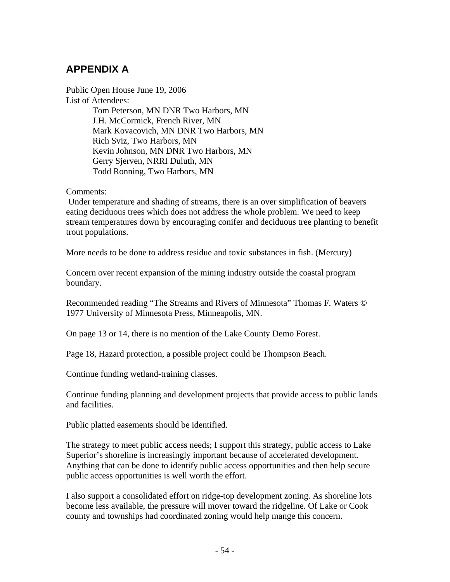# **APPENDIX A**

Public Open House June 19, 2006 List of Attendees:

Tom Peterson, MN DNR Two Harbors, MN J.H. McCormick, French River, MN Mark Kovacovich, MN DNR Two Harbors, MN Rich Sviz, Two Harbors, MN Kevin Johnson, MN DNR Two Harbors, MN Gerry Sjerven, NRRI Duluth, MN Todd Ronning, Two Harbors, MN

Comments:

 Under temperature and shading of streams, there is an over simplification of beavers eating deciduous trees which does not address the whole problem. We need to keep stream temperatures down by encouraging conifer and deciduous tree planting to benefit trout populations.

More needs to be done to address residue and toxic substances in fish. (Mercury)

Concern over recent expansion of the mining industry outside the coastal program boundary.

Recommended reading "The Streams and Rivers of Minnesota" Thomas F. Waters © 1977 University of Minnesota Press, Minneapolis, MN.

On page 13 or 14, there is no mention of the Lake County Demo Forest.

Page 18, Hazard protection, a possible project could be Thompson Beach.

Continue funding wetland-training classes.

Continue funding planning and development projects that provide access to public lands and facilities.

Public platted easements should be identified.

The strategy to meet public access needs; I support this strategy, public access to Lake Superior's shoreline is increasingly important because of accelerated development. Anything that can be done to identify public access opportunities and then help secure public access opportunities is well worth the effort.

I also support a consolidated effort on ridge-top development zoning. As shoreline lots become less available, the pressure will mover toward the ridgeline. Of Lake or Cook county and townships had coordinated zoning would help mange this concern.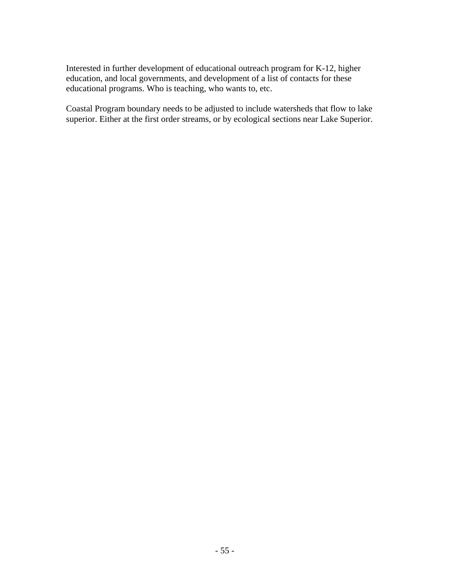Interested in further development of educational outreach program for K-12, higher education, and local governments, and development of a list of contacts for these educational programs. Who is teaching, who wants to, etc.

Coastal Program boundary needs to be adjusted to include watersheds that flow to lake superior. Either at the first order streams, or by ecological sections near Lake Superior.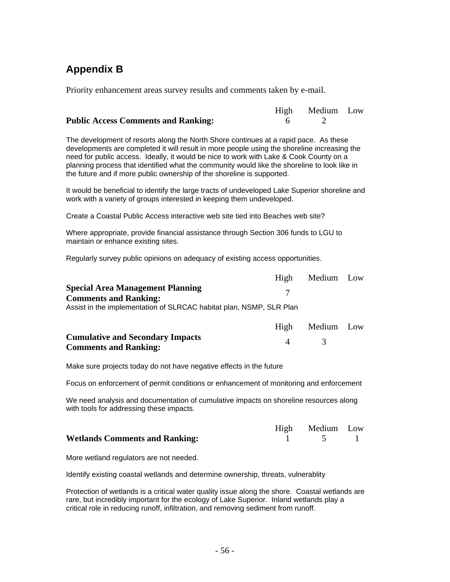# **Appendix B**

Priority enhancement areas survey results and comments taken by e-mail.

|                                            | High Medium Low |  |
|--------------------------------------------|-----------------|--|
| <b>Public Access Comments and Ranking:</b> |                 |  |

The development of resorts along the North Shore continues at a rapid pace. As these developments are completed it will result in more people using the shoreline increasing the need for public access. Ideally, it would be nice to work with Lake & Cook County on a planning process that identified what the community would like the shoreline to look like in the future and if more public ownership of the shoreline is supported.

It would be beneficial to identify the large tracts of undeveloped Lake Superior shoreline and work with a variety of groups interested in keeping them undeveloped.

Create a Coastal Public Access interactive web site tied into Beaches web site?

Where appropriate, provide financial assistance through Section 306 funds to LGU to maintain or enhance existing sites.

Regularly survey public opinions on adequacy of existing access opportunities.

|                                                                         | High      | Medium Low |  |
|-------------------------------------------------------------------------|-----------|------------|--|
| <b>Special Area Management Planning</b><br><b>Comments and Ranking:</b> |           |            |  |
| Assist in the implementation of SLRCAC habitat plan, NSMP, SLR Plan     |           |            |  |
|                                                                         | High      | Medium Low |  |
| <b>Cumulative and Secondary Impacts</b>                                 | $\Lambda$ |            |  |
| <b>Comments and Ranking:</b>                                            |           |            |  |

Make sure projects today do not have negative effects in the future

Focus on enforcement of permit conditions or enhancement of monitoring and enforcement

We need analysis and documentation of cumulative impacts on shoreline resources along with tools for addressing these impacts.

|                                       | High Medium Low |  |
|---------------------------------------|-----------------|--|
| <b>Wetlands Comments and Ranking:</b> |                 |  |

More wetland regulators are not needed.

Identify existing coastal wetlands and determine ownership, threats, vulnerablity

Protection of wetlands is a critical water quality issue along the shore. Coastal wetlands are rare, but incredibly important for the ecology of Lake Superior. Inland wetlands play a critical role in reducing runoff, infiltration, and removing sediment from runoff.